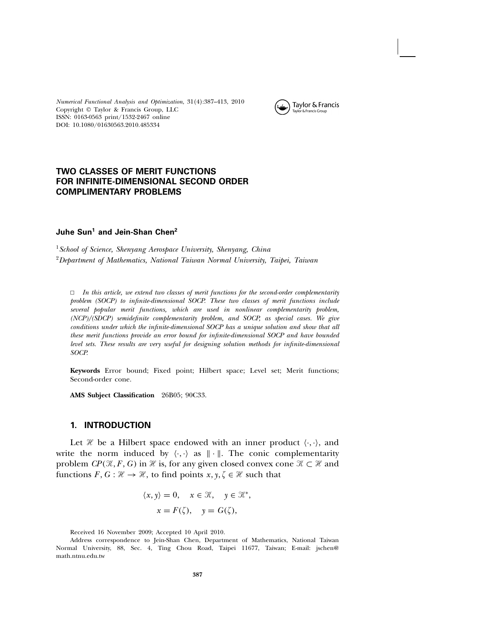Numerical Functional Analysis and Optimization, 31(4):387–413, 2010 Copyright © Taylor & Francis Group, LLC ISSN: 0163-0563 print/1532-2467 online DOI: 10.1080/01630563.2010.485334



# TWO CLASSES OF MERIT FUNCTIONS FOR INFINITE-DIMENSIONAL SECOND ORDER COMPLIMENTARY PROBLEMS

## Juhe Sun<sup>1</sup> and Jein-Shan Chen<sup>2</sup>

<sup>1</sup> School of Science, Shenyang Aerospace University, Shenyang, China <sup>2</sup>Department of Mathematics, National Taiwan Normal University, Taipei, Taiwan

 $\Box$  In this article, we extend two classes of merit functions for the second-order complementarity problem (SOCP) to infinite-dimensional SOCP. These two classes of merit functions include several popular merit functions, which are used in nonlinear complementarity problem, (NCP)/(SDCP) semidefinite complementarity problem, and SOCP, as special cases. We give conditions under which the infinite-dimensional SOCP has a unique solution and show that all these merit functions provide an error bound for infinite-dimensional SOCP and have bounded level sets. These results are very useful for designing solution methods for infinite-dimensional SOCP.

**Keywords** Error bound; Fixed point; Hilbert space; Level set; Merit functions; Second-order cone.

**AMS Subject Classification** 26B05; 90C33.

#### 1. INTRODUCTION

Let  $\mathcal H$  be a Hilbert space endowed with an inner product  $\langle \cdot, \cdot \rangle$ , and write the norm induced by  $\langle \cdot, \cdot \rangle$  as  $\|\cdot\|$ . The conic complementarity problem  $\mathit{CP}(\mathcal{K},F,G)$  in  $\mathcal H$  is, for any given closed convex cone  $\mathcal K\subset \mathcal H$  and functions  $F, G : \mathcal{H} \to \mathcal{H}$ , to find points  $x, y, \zeta \in \mathcal{H}$  such that

$$
\langle x, y \rangle = 0, \quad x \in \mathcal{K}, \quad y \in \mathcal{K}^*,
$$

$$
x = F(\zeta), \quad y = G(\zeta),
$$

Received 16 November 2009; Accepted 10 April 2010.

Address correspondence to Jein-Shan Chen, Department of Mathematics, National Taiwan Normal University, 88, Sec. 4, Ting Chou Road, Taipei 11677, Taiwan; E-mail: jschen@ math.ntnu.edu.tw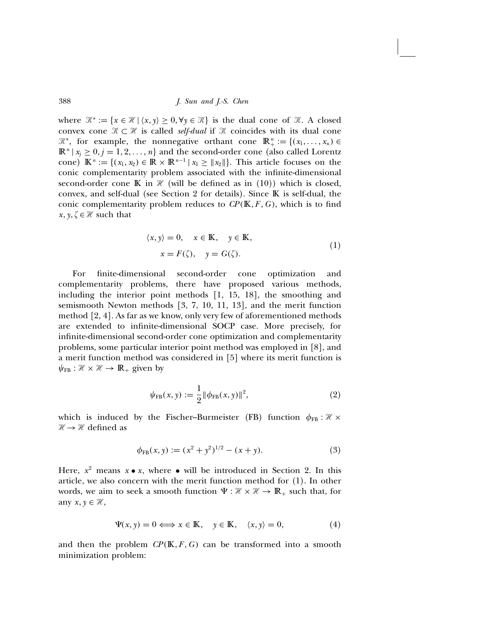where  $\mathcal{K}^* := \{x \in \mathcal{H} \mid \langle x, y \rangle \geq 0, \forall y \in \mathcal{K}\}\$ is the dual cone of  $\mathcal{K}$ . A closed convex cone  $\mathcal{K} \subset \mathcal{H}$  is called *self-dual* if  $\mathcal{K}$  coincides with its dual cone  $\mathcal{K}^*$ , for example, the nonnegative orthant cone  $\mathbb{R}^n_+ := \{ (x_1, \ldots, x_n) \in \mathbb{R}^n : \| \cdot \|_2^2 \}$  $\mathbb{R}^n | x_i \geq 0, j = 1, 2, ..., n$  and the second-order cone (also called Lorentz cone)  $\mathbb{K}^n := \{ (x_1, x_2) \in \mathbb{R} \times \mathbb{R}^{n-1} \mid x_1 \geq ||x_2|| \}.$  This article focuses on the conic complementarity problem associated with the infinite-dimensional second-order cone K in  $\mathcal X$  (will be defined as in (10)) which is closed, convex, and self-dual (see Section 2 for details). Since  $\mathbb K$  is self-dual, the conic complementarity problem reduces to  $\mathbb{CP}(\mathbb{K}, F, G)$ , which is to find  $x, y, \zeta \in \mathcal{H}$  such that

$$
\langle x, y \rangle = 0, \quad x \in \mathbb{K}, \quad y \in \mathbb{K},
$$
  

$$
x = F(\zeta), \quad y = G(\zeta).
$$
 (1)

For finite-dimensional second-order cone optimization and complementarity problems, there have proposed various methods, including the interior point methods [1, 15, 18], the smoothing and semismooth Newton methods [3, 7, 10, 11, 13], and the merit function method [2, 4]. As far as we know, only very few of aforementioned methods are extended to infinite-dimensional SOCP case. More precisely, for infinite-dimensional second-order cone optimization and complementarity problems, some particular interior point method was employed in [8], and a merit function method was considered in [5] where its merit function is  $\psi_{FB} : \mathcal{H} \times \mathcal{H} \rightarrow \mathbb{R}_{+}$  given by

$$
\psi_{\text{FB}}(x, y) := \frac{1}{2} ||\phi_{\text{FB}}(x, y)||^2, \tag{2}
$$

which is induced by the Fischer–Burmeister (FB) function  $\phi_{FB} : \mathcal{H} \times$  $\mathcal{H} \rightarrow \mathcal{H}$  defined as

$$
\phi_{FB}(x, y) := (x^2 + y^2)^{1/2} - (x + y). \tag{3}
$$

Here,  $x^2$  means  $x \bullet x$ , where  $\bullet$  will be introduced in Section 2. In this article, we also concern with the merit function method for (1). In other words, we aim to seek a smooth function  $\Psi : \mathcal{H} \times \mathcal{H} \to \mathbb{R}_+$  such that, for any  $x, y \in \mathcal{H}$ ,

$$
\Psi(x, y) = 0 \Longleftrightarrow x \in \mathbb{K}, \quad y \in \mathbb{K}, \quad \langle x, y \rangle = 0,
$$
\n(4)

and then the problem  $\mathbb{CP}(\mathbb{K}, F, G)$  can be transformed into a smooth minimization problem: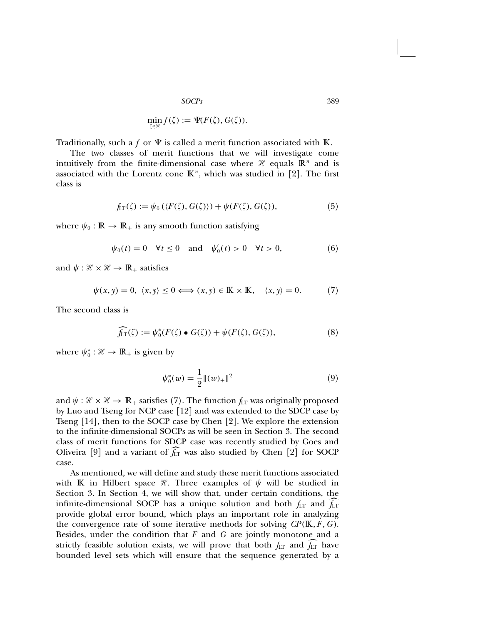$$
\min_{\zeta \in \mathcal{H}} f(\zeta) := \Psi(F(\zeta), G(\zeta)).
$$

Traditionally, such a f or  $\Psi$  is called a merit function associated with  $\mathbb K$ .

The two classes of merit functions that we will investigate come intuitively from the finite-dimensional case where  $\mathcal H$  equals  $\mathbb R^n$  and is associated with the Lorentz cone  $\mathbb{K}^n$ , which was studied in [2]. The first class is

$$
f_{LT}(\zeta) := \psi_0(\langle F(\zeta), G(\zeta) \rangle) + \psi(F(\zeta), G(\zeta)), \tag{5}
$$

where  $\psi_0 : \mathbb{R} \to \mathbb{R}_+$  is any smooth function satisfying

$$
\psi_0(t) = 0 \quad \forall t \le 0 \quad \text{and} \quad \psi_0'(t) > 0 \quad \forall t > 0,\tag{6}
$$

and  $\psi : \mathcal{H} \times \mathcal{H} \to \mathbb{R}_+$  satisfies

 $\psi(x, y) = 0, \langle x, y \rangle \le 0 \Longleftrightarrow (x, y) \in \mathbb{K} \times \mathbb{K}, \quad \langle x, y \rangle = 0.$  (7)

The second class is

$$
\widehat{f_{LT}}(\zeta) := \psi_0^*(F(\zeta) \bullet G(\zeta)) + \psi(F(\zeta), G(\zeta)),\tag{8}
$$

where  $\psi_0^* : \mathcal{H} \to \mathbb{R}_+$  is given by

$$
\psi_0^*(w) = \frac{1}{2} ||(w)_+||^2 \tag{9}
$$

and  $\psi : \mathcal{H} \times \mathcal{H} \to \mathbb{R}_+$  satisfies (7). The function  $f_{LT}$  was originally proposed by Luo and Tseng for NCP case [12] and was extended to the SDCP case by Tseng [14], then to the SOCP case by Chen [2]. We explore the extension to the infinite-dimensional SOCPs as will be seen in Section 3. The second class of merit functions for SDCP case was recently studied by Goes and Oliveira [9] and a variant of  $f_{LT}$  was also studied by Chen [2] for SOCP case.

As mentioned, we will define and study these merit functions associated with K in Hilbert space  $\mathcal{H}$ . Three examples of  $\psi$  will be studied in Section 3. In Section 4, we will show that, under certain conditions, the infinite-dimensional SOCP has a unique solution and both  $f_{LT}$  and  $f_{LT}$ provide global error bound, which plays an important role in analyzing the convergence rate of some iterative methods for solving  $\mathcal{CP}(\mathbb{K}, F, G)$ . Besides, under the condition that  $F$  and  $G$  are jointly monotone and a strictly feasible solution exists, we will prove that both  $f_{LT}$  and  $f_{LT}$  have bounded level sets which will ensure that the sequence generated by a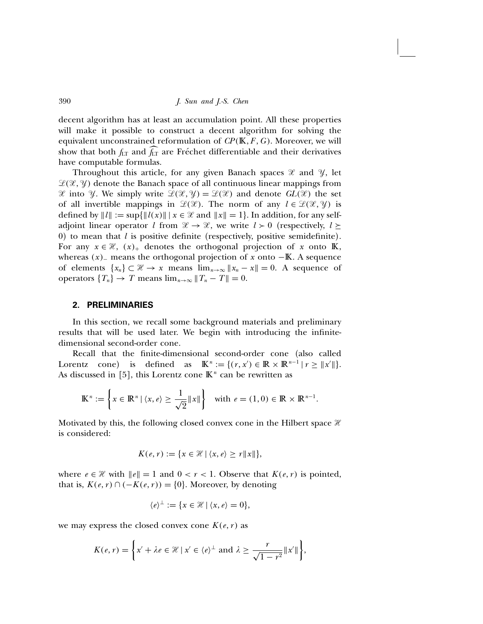decent algorithm has at least an accumulation point. All these properties will make it possible to construct a decent algorithm for solving the equivalent unconstrained reformulation of  $\mathbb{CP}(\mathbb{K}, F, G)$ . Moreover, we will show that both  $f_{LT}$  and  $f_{LT}$  are Fréchet differentiable and their derivatives have computable formulas.

Throughout this article, for any given Banach spaces  $\mathcal X$  and  $\mathcal Y$ , let  $\mathcal{L}(\mathcal{X}, \mathcal{Y})$  denote the Banach space of all continuous linear mappings from  $\mathscr X$  into  $\mathscr Y$ . We simply write  $\mathscr L(\mathscr X, \mathscr Y) = \mathscr L(\mathscr X)$  and denote  $GL(\mathscr X)$  the set of all invertible mappings in  $\mathcal{L}(\mathcal{X})$ . The norm of any  $l \in \mathcal{L}(\mathcal{X}, \mathcal{Y})$  is defined by  $||l|| := \sup{||l(x)|| \mid x \in \mathcal{X} \text{ and } ||x|| = 1}.$  In addition, for any selfadjoint linear operator l from  $\mathcal{X} \to \mathcal{X}$ , we write  $l > 0$  (respectively,  $l \geq$ 0) to mean that  $l$  is positive definite (respectively, positive semidefinite). For any  $x \in \mathcal{H}$ ,  $(x)_{+}$  denotes the orthogonal projection of x onto K, whereas  $(x)$ <sub>−</sub> means the orthogonal projection of x onto  $-\mathbb{K}$ . A sequence of elements  $\{x_n\} \subset \mathcal{H} \to x$  means  $\lim_{n\to\infty} ||x_n - x|| = 0$ . A sequence of operators  ${T_n} \rightarrow T$  means  $\lim_{n\to\infty} ||T_n - T|| = 0$ .

### 2. PRELIMINARIES

In this section, we recall some background materials and preliminary results that will be used later. We begin with introducing the infinitedimensional second-order cone.

Recall that the finite-dimensional second-order cone (also called Lorentz cone) is defined as  $\mathbb{K}^n := \{ (r, x') \in \mathbb{R} \times \mathbb{R}^{n-1} | r \ge ||x'|| \}.$ As discussed in [5], this Lorentz cone  $\mathbb{K}^n$  can be rewritten as

$$
\mathbb{K}^n := \left\{ x \in \mathbb{R}^n \mid \langle x, e \rangle \ge \frac{1}{\sqrt{2}} \|x\| \right\} \quad \text{with } e = (1,0) \in \mathbb{R} \times \mathbb{R}^{n-1}.
$$

Motivated by this, the following closed convex cone in the Hilbert space  $\mathcal X$ is considered:

$$
K(e,r) := \{ x \in \mathcal{H} \mid \langle x,e \rangle \ge r \|x\| \},\
$$

where  $e \in \mathcal{H}$  with  $||e|| = 1$  and  $0 < r < 1$ . Observe that  $K(e, r)$  is pointed, that is,  $K(e, r) \cap (-K(e, r)) = \{0\}$ . Moreover, by denoting

$$
\langle e \rangle^{\perp} := \{ x \in \mathcal{H} \mid \langle x, e \rangle = 0 \},
$$

we may express the closed convex cone  $K(e, r)$  as

$$
K(e,r) = \left\{ x' + \lambda e \in \mathcal{H} \mid x' \in \langle e \rangle^{\perp} \text{ and } \lambda \geq \frac{r}{\sqrt{1-r^2}} \|x'\| \right\},\
$$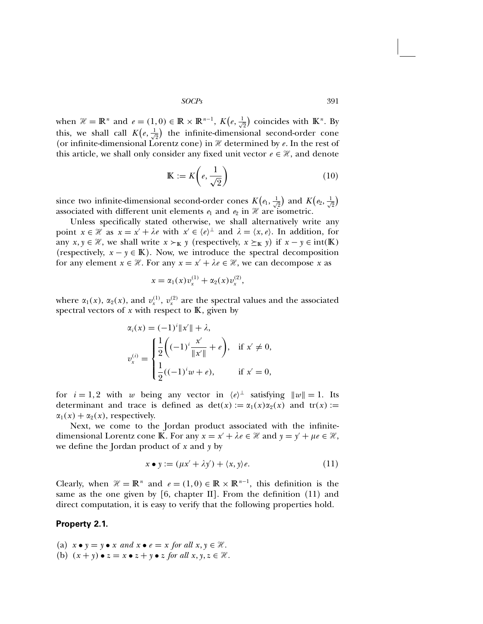when  $\mathcal{H} = \mathbb{R}^n$  and  $e = (1, 0) \in \mathbb{R} \times \mathbb{R}^{n-1}$ ,  $K(e, \frac{1}{\sqrt{2}})$  coincides with  $\mathbb{K}^n$ . By this, we shall call  $K(e, \frac{1}{\sqrt{2}})$  the infinite-dimensional second-order cone (or infinite-dimensional Lorentz cone) in  $\mathcal H$  determined by e. In the rest of this article, we shall only consider any fixed unit vector  $e \in \mathcal{H}$ , and denote

$$
\mathbb{K} := K\left(e, \frac{1}{\sqrt{2}}\right) \tag{10}
$$

since two infinite-dimensional second-order cones  $K(e_1, \frac{1}{\sqrt{2}})$  and  $K(e_2, \frac{1}{\sqrt{2}})$ associated with different unit elements  $e_1$  and  $e_2$  in  $\mathcal H$  are isometric.

Unless specifically stated otherwise, we shall alternatively write any point  $x \in \mathcal{H}$  as  $x = x' + \lambda e$  with  $x' \in \langle e \rangle^{\perp}$  and  $\lambda = \langle x, e \rangle$ . In addition, for any  $x, y \in \mathcal{H}$ , we shall write  $x \succ_{\mathbb{K}} y$  (respectively,  $x \succeq_{\mathbb{K}} y$ ) if  $x - y \in \text{int}(\mathbb{K})$ (respectively,  $x - y \in K$ ). Now, we introduce the spectral decomposition for any element  $x \in \mathcal{H}$ . For any  $x = x' + \lambda e \in \mathcal{H}$ , we can decompose x as

$$
x = \alpha_1(x)v_x^{(1)} + \alpha_2(x)v_x^{(2)},
$$

where  $\alpha_1(x)$ ,  $\alpha_2(x)$ , and  $v_x^{(1)}$ ,  $v_x^{(2)}$  are the spectral values and the associated spectral vectors of  $x$  with respect to  $K$ , given by

$$
\alpha_i(x) = (-1)^i \|x'\| + \lambda,
$$
  
\n
$$
v_x^{(i)} = \begin{cases} \frac{1}{2} \left( (-1)^i \frac{x'}{\|x'\|} + e \right), & \text{if } x' \neq 0, \\ \frac{1}{2} ((-1)^i w + e), & \text{if } x' = 0, \end{cases}
$$

for  $i = 1, 2$  with w being any vector in  $\langle e \rangle^{\perp}$  satisfying  $||w|| = 1$ . Its determinant and trace is defined as  $det(x) := \alpha_1(x)\alpha_2(x)$  and  $tr(x) :=$  $\alpha_1(x) + \alpha_2(x)$ , respectively.

Next, we come to the Jordan product associated with the infinitedimensional Lorentz cone K. For any  $x = x' + \lambda e \in \mathcal{H}$  and  $y = y' + \mu e \in \mathcal{H}$ , we define the Jordan product of  $x$  and  $y$  by

$$
x \bullet y := (\mu x' + \lambda y') + \langle x, y \rangle e. \tag{11}
$$

Clearly, when  $\mathcal{H} = \mathbb{R}^n$  and  $e = (1, 0) \in \mathbb{R} \times \mathbb{R}^{n-1}$ , this definition is the same as the one given by  $[6,$  chapter II]. From the definition  $(11)$  and direct computation, it is easy to verify that the following properties hold.

## Property 2.1.

(a)  $x \bullet y = y \bullet x$  and  $x \bullet e = x$  for all  $x, y \in \mathcal{H}$ . (b)  $(x + y) \bullet z = x \bullet z + y \bullet z$  for all  $x, y, z \in \mathcal{H}$ .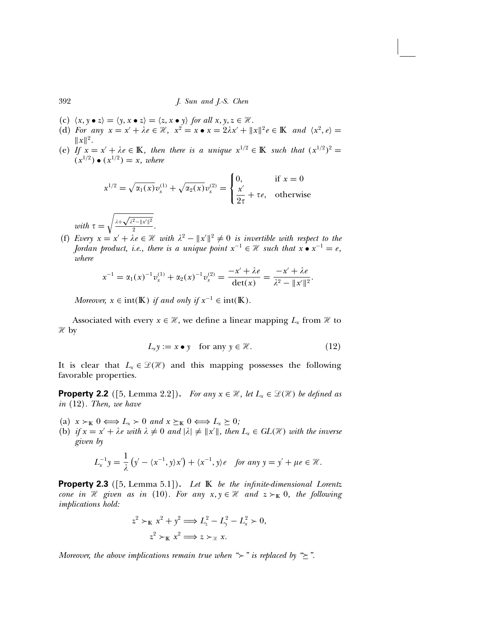- (c)  $\langle x, y \bullet z \rangle = \langle y, x \bullet z \rangle = \langle z, x \bullet y \rangle$  for all  $x, y, z \in \mathcal{H}$ .
- (d) For any  $x = x' + \lambda e \in \mathcal{H}$ ,  $x^2 = x \bullet x = 2\lambda x' + ||x||^2 e \in K$  and  $\langle x^2, e \rangle =$  $\|x\|^2$ .
- (e) If  $x = x' + \lambda e \in \mathbb{K}$ , then there is a unique  $x^{1/2} \in \mathbb{K}$  such that  $(x^{1/2})^2 =$  $(x^{1/2}) \bullet (x^{1/2}) = x$ , where

$$
x^{1/2} = \sqrt{\alpha_1(x)} v_x^{(1)} + \sqrt{\alpha_2(x)} v_x^{(2)} = \begin{cases} 0, & \text{if } x = 0\\ \frac{x'}{2\tau} + \tau e, & \text{otherwise} \end{cases}
$$

with  $\tau =$  $\int \lambda + \sqrt{\lambda^2 - ||x'||^2}$  $\frac{1}{2}$ .

(f) Every  $x = x' + \lambda e \in \mathcal{H}$  with  $\lambda^2 - ||x'||^2 \neq 0$  is invertible with respect to the Jordan product, i.e., there is a unique point  $x^{-1} \in \mathcal{H}$  such that  $x \bullet x^{-1} = e$ , where

$$
x^{-1} = \alpha_1(x)^{-1} v_x^{(1)} + \alpha_2(x)^{-1} v_x^{(2)} = \frac{-x' + \lambda e}{\det(x)} = \frac{-x' + \lambda e}{\lambda^2 - \|x'\|^2}.
$$

Moreover,  $x \in \text{int}(\mathbb{K})$  if and only if  $x^{-1} \in \text{int}(\mathbb{K})$ .

Associated with every  $x \in \mathcal{H}$ , we define a linear mapping  $L_x$  from  $\mathcal{H}$  to  $\mathcal{H}$  by

$$
L_{x}y := x \bullet y \quad \text{for any } y \in \mathcal{H}.
$$
 (12)

It is clear that  $L_x \in \mathcal{L}(\mathcal{H})$  and this mapping possesses the following favorable properties.

**Property 2.2** ([5, Lemma 2.2]). For any  $x \in \mathcal{H}$ , let  $L_x \in \mathcal{L}(\mathcal{H})$  be defined as in (12). Then, we have

- (a)  $x >_{\mathbb{K}} 0 \Longleftrightarrow L_x > 0$  and  $x \succeq_{\mathbb{K}} 0 \Longleftrightarrow L_x \succeq 0;$
- (b) if  $x = x' + \lambda e$  with  $\lambda \neq 0$  and  $|\lambda| \neq ||x'||$ , then  $L_x \in GL(\mathcal{H})$  with the inverse given by

$$
L_x^{-1}y = \frac{1}{\lambda} \left( y' - \langle x^{-1}, y \rangle x' \right) + \langle x^{-1}, y \rangle e \quad \text{for any } y = y' + \mu e \in \mathcal{H}.
$$

**Property 2.3** ([5, Lemma 5.1]). Let  $\mathbb{K}$  be the infinite-dimensional Lorentz cone in  $\mathcal H$  given as in (10). For any  $x, y \in \mathcal H$  and  $z \succ_{\mathbb K} 0$ , the following implications hold:

$$
z2 >_{\mathbb{K}} x2 + y2 \Longrightarrow Lz2 - Ly2 - Lx2 > 0,
$$
  

$$
z2 >_{\mathbb{K}} x2 \Longrightarrow z >_{\mathcal{K}} x.
$$

Moreover, the above implications remain true when " $\succ$ " is replaced by " $\geq$ ".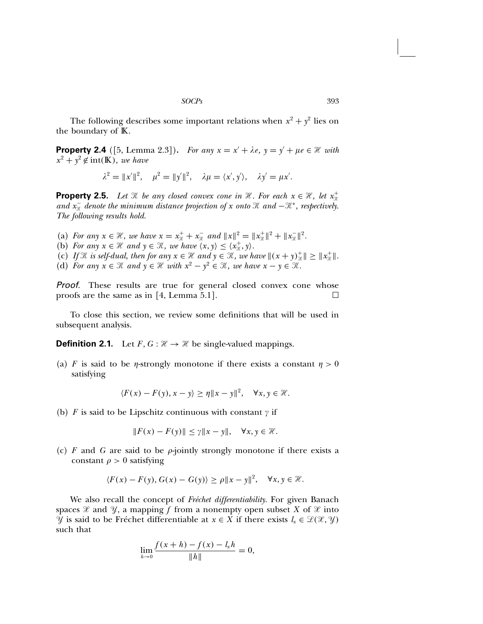The following describes some important relations when  $x^2 + y^2$  lies on the boundary of  $K$ .

**Property 2.4** ([5, Lemma 2.3]). For any  $x = x' + \lambda e$ ,  $y = y' + \mu e \in \mathcal{H}$  with  $x^2 + y^2 \notin \text{int}(\mathbb{K})$ , we have

$$
\lambda^2 = ||x'||^2, \quad \mu^2 = ||y'||^2, \quad \lambda \mu = \langle x', y' \rangle, \quad \lambda y' = \mu x'.
$$

**Property 2.5.** Let  $\mathcal{H}$  be any closed convex cone in  $\mathcal{H}$ . For each  $x \in \mathcal{H}$ , let  $x_{\mathcal{H}}^+$ and  $x_{\mathcal{R}}^-$  denote the minimum distance projection of x onto  $\mathcal{R}$  and  $-\mathcal{R}^*$ , respectively. The following results hold.

- (a) For any  $x \in \mathcal{H}$ , we have  $x = x_{\mathcal{H}}^+ + x_{\mathcal{H}}^-$  and  $||x||^2 = ||x_{\mathcal{H}}^+||^2 + ||x_{\mathcal{H}}^-||^2$ .
- (b) For any  $x \in \mathcal{H}$  and  $y \in \mathcal{H}$ , we have  $\langle x, y \rangle \leq \langle x_{\mathcal{H}}^+, y \rangle$ .
- (c) If  $\mathcal{H}$  is self-dual, then for any  $x \in \mathcal{H}$  and  $y \in \mathcal{H}$ , we have  $\|(x + y)_\mathcal{H}^+\| \geq \|x_\mathcal{H}^+\|$ .
- (d) For any  $x \in \mathcal{K}$  and  $y \in \mathcal{H}$  with  $x^2 y^2 \in \mathcal{K}$ , we have  $x y \in \mathcal{K}$ .

Proof. These results are true for general closed convex cone whose proofs are the same as in [4, Lemma 5.1].

To close this section, we review some definitions that will be used in subsequent analysis.

**Definition 2.1.** Let  $F, G : \mathcal{H} \to \mathcal{H}$  be single-valued mappings.

(a) F is said to be *n*-strongly monotone if there exists a constant  $\eta > 0$ satisfying

$$
\langle F(x)-F(y), x-y\rangle \ge \eta \|x-y\|^2, \quad \forall x, y \in \mathcal{H}.
$$

(b) F is said to be Lipschitz continuous with constant  $\gamma$  if

$$
||F(x) - F(y)|| \le \gamma ||x - y||, \quad \forall x, y \in \mathcal{H}.
$$

(c) F and G are said to be  $\rho$ -jointly strongly monotone if there exists a constant  $\rho > 0$  satisfying

$$
\langle F(x) - F(y), G(x) - G(y) \rangle \ge \rho \|x - y\|^2, \quad \forall x, y \in \mathcal{H}.
$$

We also recall the concept of Fréchet differentiability. For given Banach spaces  $\mathcal X$  and  $\mathcal Y$ , a mapping f from a nonempty open subset X of  $\mathcal X$  into  $\mathcal{Y}$  is said to be Fréchet differentiable at  $x \in X$  if there exists  $l_x \in \mathcal{L}(\mathcal{X}, \mathcal{Y})$ such that

$$
\lim_{h \to 0} \frac{f(x+h) - f(x) - l_x h}{\|h\|} = 0,
$$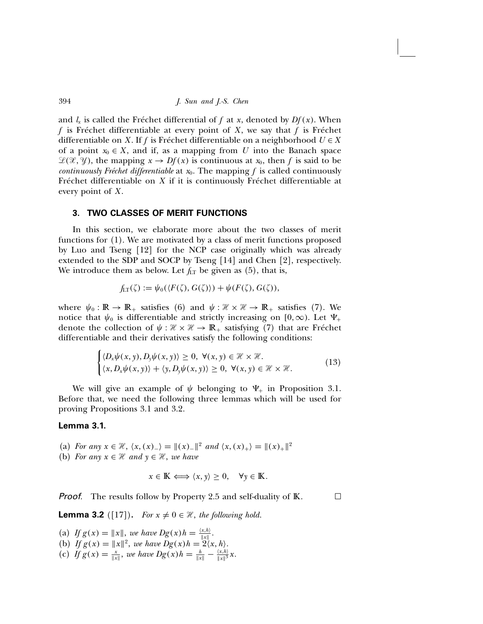and  $l_x$  is called the Fréchet differential of f at x, denoted by  $Df(x)$ . When f is Fréchet differentiable at every point of X, we say that f is Fréchet differentiable on X. If f is Fréchet differentiable on a neighborhood  $U \in X$ of a point  $x_0 \in X$ , and if, as a mapping from U into the Banach space  $\mathcal{L}(\mathcal{X}, \mathcal{Y})$ , the mapping  $x \to Df(x)$  is continuous at  $x_0$ , then f is said to be continuously Fréchet differentiable at  $x_0$ . The mapping f is called continuously Fréchet differentiable on X if it is continuously Fréchet differentiable at every point of  $X$ .

#### 3. TWO CLASSES OF MERIT FUNCTIONS

In this section, we elaborate more about the two classes of merit functions for (1). We are motivated by a class of merit functions proposed by Luo and Tseng [12] for the NCP case originally which was already extended to the SDP and SOCP by Tseng [14] and Chen [2], respectively. We introduce them as below. Let  $f_{LT}$  be given as (5), that is,

$$
f_{LT}(\zeta) := \psi_0(\langle F(\zeta), G(\zeta) \rangle) + \psi(F(\zeta), G(\zeta)),
$$

where  $\psi_0 : \mathbb{R} \to \mathbb{R}_+$  satisfies (6) and  $\psi : \mathcal{H} \times \mathcal{H} \to \mathbb{R}_+$  satisfies (7). We notice that  $\psi_0$  is differentiable and strictly increasing on [0, ∞). Let  $\Psi_+$ denote the collection of  $\psi : \mathcal{H} \times \mathcal{H} \to \mathbb{R}_+$  satisfying (7) that are Fréchet differentiable and their derivatives satisfy the following conditions:

$$
\begin{cases} \langle D_x \psi(x, y), D_y \psi(x, y) \rangle \ge 0, \ \forall (x, y) \in \mathcal{H} \times \mathcal{H}.\\ \langle x, D_x \psi(x, y) \rangle + \langle y, D_y \psi(x, y) \rangle \ge 0, \ \forall (x, y) \in \mathcal{H} \times \mathcal{H}. \end{cases}
$$
(13)

We will give an example of  $\psi$  belonging to  $\Psi_+$  in Proposition 3.1. Before that, we need the following three lemmas which will be used for proving Propositions 3.1 and 3.2.

### Lemma 3.1.

- (a) For any  $x \in \mathcal{H}$ ,  $\langle x, (x)_{-} \rangle = ||(x)_{-}||^2$  and  $\langle x, (x)_{+} \rangle = ||(x)_{+}||^2$
- (b) For any  $x \in \mathcal{H}$  and  $y \in \mathcal{H}$ , we have

$$
x \in \mathbb{K} \iff \langle x, y \rangle \ge 0, \quad \forall y \in \mathbb{K}.
$$

**Proof.** The results follow by Property 2.5 and self-duality of  $K$ .

**Lemma 3.2** ([17]). For  $x \neq 0 \in \mathcal{H}$ , the following hold.

- (a) If  $g(x) = ||x||$ , we have  $Dg(x)h = \frac{\langle x,h\rangle}{||x||}$ .
- (b) If  $g(x) = ||x||^2$ , we have  $Dg(x)h = 2\langle x, h \rangle$ .
- (c) If  $g(x) = \frac{x}{\|x\|}$ , we have  $Dg(x)h = \frac{h}{\|x\|} \frac{\langle x, h \rangle}{\|x\|^3}x$ .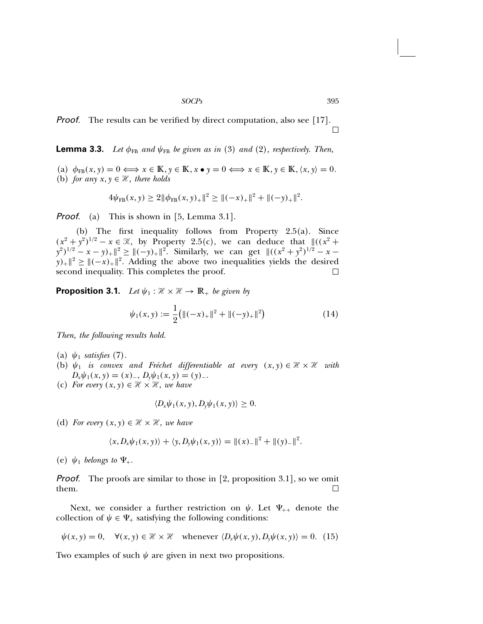**Proof.** The results can be verified by direct computation, also see [17].  $\Box$ 

**Lemma 3.3.** Let  $\phi_{FB}$  and  $\psi_{FB}$  be given as in (3) and (2), respectively. Then,

(a)  $\phi_{FB}(x, y) = 0 \Longleftrightarrow x \in \mathbb{K}, y \in \mathbb{K}, x \bullet y = 0 \Longleftrightarrow x \in \mathbb{K}, y \in \mathbb{K}, \langle x, y \rangle = 0.$ (b) for any  $x, y \in \mathcal{H}$ , there holds

$$
4\psi_{\text{FB}}(x, y) \geq 2\|\phi_{\text{FB}}(x, y)_{+}\|^2 \geq \|(-x)_{+}\|^2 + \|(-y)_{+}\|^2.
$$

**Proof.** (a) This is shown in [5, Lemma 3.1].

(b) The first inequality follows from Property 2.5(a). Since  $(x^2 + y^2)^{1/2} - x \in \mathcal{K}$ , by Property 2.5(c), we can deduce that  $\|(x^2 + y^2)^{1/2} - x\|$  $(y^{2})^{1/2} - x - y_{+} \|^{2} \geq \|(-y)_{+}\|^{2}$ . Similarly, we can get  $\|((x^{2} + y^{2})^{1/2} - x - y_{+})\|^{2}$  $y_{+} \parallel^{2} \geq ||(-x)_{+}||^{2}$ . Adding the above two inequalities yields the desired second inequality. This completes the proof. second inequality. This completes the proof.

**Proposition 3.1.** Let  $\psi_1 : \mathcal{H} \times \mathcal{H} \to \mathbb{R}_+$  be given by

$$
\psi_1(x, y) := \frac{1}{2} \big( \|(-x)_+\|^2 + \|(-y)_+\|^2 \big) \tag{14}
$$

Then, the following results hold.

- (a)  $\psi_1$  satisfies (7).
- (b)  $\psi_1$  is convex and Fréchet differentiable at every  $(x, y) \in \mathcal{H} \times \mathcal{H}$  with  $D_x \psi_1(x, y) = (x)$ ,  $D_y \psi_1(x, y) = (y)$ .
- (c) For every  $(x, y) \in \mathcal{H} \times \mathcal{H}$ , we have

$$
\langle D_x \psi_1(x, y), D_y \psi_1(x, y) \rangle \geq 0.
$$

(d) For every  $(x, y) \in \mathcal{H} \times \mathcal{H}$ , we have

$$
\langle x, D_x \psi_1(x, y) \rangle + \langle y, D_y \psi_1(x, y) \rangle = ||(x)_-||^2 + ||(y)_-||^2.
$$

(e)  $\psi_1$  belongs to  $\Psi_+$ .

**Proof.** The proofs are similar to those in  $[2,$  proposition 3.1], so we omit them.  $\Box$ 

Next, we consider a further restriction on  $\psi$ . Let  $\Psi_{++}$  denote the collection of  $\psi \in \Psi_+$  satisfying the following conditions:

$$
\psi(x, y) = 0, \quad \forall (x, y) \in \mathcal{H} \times \mathcal{H} \quad \text{whenever} \quad \langle D_x \psi(x, y), D_y \psi(x, y) \rangle = 0. \tag{15}
$$

Two examples of such  $\psi$  are given in next two propositions.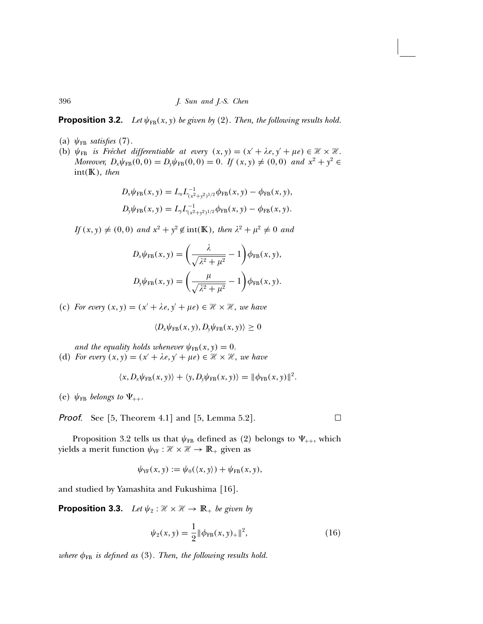**Proposition 3.2.** Let  $\psi_{FB}(x, y)$  be given by (2). Then, the following results hold.

- (a)  $\psi_{FB}$  satisfies (7).
- (b)  $\psi_{FB}$  is Fréchet differentiable at every  $(x, y) = (x' + \lambda e, y' + \mu e) \in \mathcal{H} \times \mathcal{H}$ . Moreover,  $D_x \psi_{FB}(0, 0) = D_y \psi_{FB}(0, 0) = 0$ . If  $(x, y) \neq (0, 0)$  and  $x^2 + y^2 \in$  $int(K)$ , then

$$
D_x \psi_{FB}(x, y) = L_x L_{(x^2 + y^2)^{1/2}}^{-1} \phi_{FB}(x, y) - \phi_{FB}(x, y),
$$
  

$$
D_y \psi_{FB}(x, y) = L_y L_{(x^2 + y^2)^{1/2}}^{-1} \phi_{FB}(x, y) - \phi_{FB}(x, y).
$$

 $If (x, y) \neq (0, 0) \text{ and } x^2 + y^2 \notin \text{int}(\mathbb{K}), \text{ then } \lambda^2 + \mu^2 \neq 0 \text{ and }$ 

$$
D_x \psi_{FB}(x, y) = \left(\frac{\lambda}{\sqrt{\lambda^2 + \mu^2}} - 1\right) \phi_{FB}(x, y),
$$
  

$$
D_y \psi_{FB}(x, y) = \left(\frac{\mu}{\sqrt{\lambda^2 + \mu^2}} - 1\right) \phi_{FB}(x, y).
$$

(c) For every  $(x, y) = (x' + \lambda e, y' + \mu e) \in \mathcal{H} \times \mathcal{H}$ , we have

$$
\langle D_x \psi_{FB}(x, y), D_y \psi_{FB}(x, y) \rangle \geq 0
$$

and the equality holds whenever  $\psi_{FB}(x, y) = 0$ .

(d) For every  $(x, y) = (x' + \lambda e, y' + \mu e) \in \mathcal{H} \times \mathcal{H}$ , we have

$$
\langle x, D_x \psi_{\text{FB}}(x, y) \rangle + \langle y, D_y \psi_{\text{FB}}(x, y) \rangle = || \phi_{\text{FB}}(x, y) ||^2.
$$

(e)  $\psi_{FB}$  belongs to  $\Psi_{++}$ .

**Proof.** See [5, Theorem 4.1] and [5, Lemma 5.2].  $\Box$ 

Proposition 3.2 tells us that  $\psi_{FB}$  defined as (2) belongs to  $\Psi_{++}$ , which yields a merit function  $\psi_{YF} : \mathcal{H} \times \mathcal{H} \to \mathbb{R}_+$  given as

$$
\psi_{YF}(x, y) := \psi_0(\langle x, y \rangle) + \psi_{FB}(x, y),
$$

and studied by Yamashita and Fukushima [16].

**Proposition 3.3.** Let  $\psi_2 : \mathcal{H} \times \mathcal{H} \to \mathbb{R}_+$  be given by

$$
\psi_2(x, y) = \frac{1}{2} \|\phi_{FB}(x, y)_+\|^2, \tag{16}
$$

where  $\phi_{FB}$  is defined as (3). Then, the following results hold.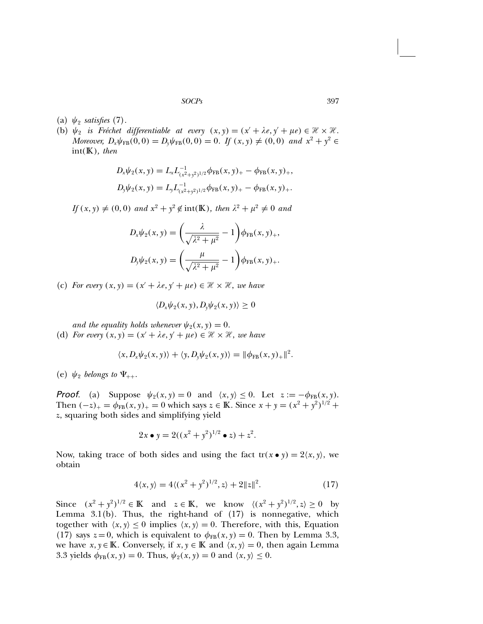- (a)  $\psi_2$  satisfies (7).
- (b)  $\psi_2$  is Fréchet differentiable at every  $(x, y) = (x' + \lambda e, y' + \mu e) \in \mathcal{H} \times \mathcal{H}$ . Moreover,  $D_x \psi_{FB}(0,0) = D_y \psi_{FB}(0,0) = 0$ . If  $(x, y) \neq (0, 0)$  and  $x^2 + y^2 \in$  $int(K)$ , then

$$
D_x \psi_2(x, y) = L_x L_{(x^2 + y^2)^{1/2}}^{-1} \phi_{FB}(x, y)_+ - \phi_{FB}(x, y)_+,
$$
  
\n
$$
D_y \psi_2(x, y) = L_y L_{(x^2 + y^2)^{1/2}}^{-1} \phi_{FB}(x, y)_+ - \phi_{FB}(x, y)_+.
$$

 $If (x, y) \neq (0, 0) \text{ and } x^2 + y^2 \notin \text{int}(\mathbb{K}), \text{ then } \lambda^2 + \mu^2 \neq 0 \text{ and }$ 

$$
D_x \psi_2(x, y) = \left(\frac{\lambda}{\sqrt{\lambda^2 + \mu^2}} - 1\right) \phi_{FB}(x, y)_+, D_y \psi_2(x, y) = \left(\frac{\mu}{\sqrt{\lambda^2 + \mu^2}} - 1\right) \phi_{FB}(x, y)_+.
$$

(c) For every  $(x, y) = (x' + \lambda e, y' + \mu e) \in \mathcal{H} \times \mathcal{H}$ , we have

$$
\langle D_x \psi_2(x, y), D_y \psi_2(x, y) \rangle \geq 0
$$

and the equality holds whenever  $\psi_2(x, y) = 0$ .

(d) For every  $(x, y) = (x' + \lambda e, y' + \mu e) \in \mathcal{H} \times \mathcal{H}$ , we have

$$
\langle x, D_x \psi_2(x, y) \rangle + \langle y, D_y \psi_2(x, y) \rangle = ||\phi_{FB}(x, y)_+||^2.
$$

(e)  $\psi_2$  belongs to  $\Psi_{++}$ .

**Proof.** (a) Suppose  $\psi_2(x, y) = 0$  and  $\langle x, y \rangle \le 0$ . Let  $z := -\phi_{FB}(x, y)$ . Then  $(-z)_+ = \phi_{FB}(x, y)_+ = 0$  which says  $z \in \mathbb{K}$ . Since  $x + y = (x^2 + y^2)^{1/2} + y^2$ z, squaring both sides and simplifying yield

$$
2x \bullet y = 2((x^2 + y^2)^{1/2} \bullet z) + z^2.
$$

Now, taking trace of both sides and using the fact  $tr(x \bullet y) = 2\langle x, y \rangle$ , we obtain

$$
4\langle x, y \rangle = 4\langle (x^2 + y^2)^{1/2}, z \rangle + 2\|z\|^2. \tag{17}
$$

Since  $(x^2 + y^2)^{1/2} \in \mathbb{K}$  and  $z \in \mathbb{K}$ , we know  $\langle (x^2 + y^2)^{1/2}, z \rangle \ge 0$  by Lemma  $3.1(b)$ . Thus, the right-hand of  $(17)$  is nonnegative, which together with  $\langle x, y \rangle \le 0$  implies  $\langle x, y \rangle = 0$ . Therefore, with this, Equation (17) says  $z = 0$ , which is equivalent to  $\phi_{FB}(x, y) = 0$ . Then by Lemma 3.3, we have  $x, y \in \mathbb{K}$ . Conversely, if  $x, y \in \mathbb{K}$  and  $\langle x, y \rangle = 0$ , then again Lemma 3.3 yields  $\phi_{FB}(x, y) = 0$ . Thus,  $\psi_2(x, y) = 0$  and  $\langle x, y \rangle \le 0$ .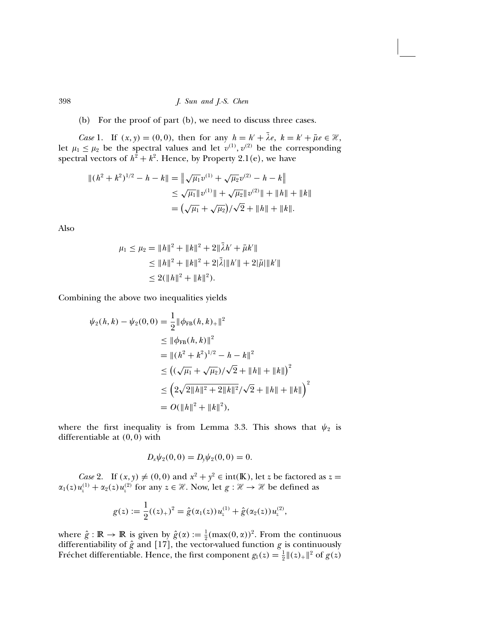(b) For the proof of part (b), we need to discuss three cases.

Case 1. If  $(x, y) = (0, 0)$ , then for any  $h = h' + \lambda e$ ,  $k = k' + \overline{\mu}e \in \mathcal{H}$ , let  $\mu_1 \leq \mu_2$  be the spectral values and let  $v^{(1)}$ ,  $v^{(2)}$  be the corresponding spectral vectors of  $h^2 + k^2$ . Hence, by Property 2.1(e), we have

$$
\begin{aligned} \|(h^2 + k^2)^{1/2} - h - k\| &= \left\|\sqrt{\mu_1}v^{(1)} + \sqrt{\mu_2}v^{(2)} - h - k\right\| \\ &\le \sqrt{\mu_1}\|v^{(1)}\| + \sqrt{\mu_2}\|v^{(2)}\| + \|h\| + \|k\| \\ &= \left(\sqrt{\mu_1} + \sqrt{\mu_2}\right)/\sqrt{2} + \|h\| + \|k\|. \end{aligned}
$$

Also

$$
\mu_1 \le \mu_2 = \|h\|^2 + \|k\|^2 + 2\|\bar{\lambda}h' + \bar{\mu}k'\|
$$
  
\n
$$
\le \|h\|^2 + \|k\|^2 + 2\|\bar{\lambda}\|\|h'\| + 2\|\bar{\mu}\|\|k'\|
$$
  
\n
$$
\le 2(\|h\|^2 + \|k\|^2).
$$

Combining the above two inequalities yields

$$
\psi_2(h,k) - \psi_2(0,0) = \frac{1}{2} ||\phi_{FB}(h,k)_{+}||^2
$$
  
\n
$$
\leq ||\phi_{FB}(h,k)||^2
$$
  
\n
$$
= ||(h^2 + k^2)^{1/2} - h - k||^2
$$
  
\n
$$
\leq ((\sqrt{\mu_1} + \sqrt{\mu_2})/\sqrt{2} + ||h|| + ||k||)^2
$$
  
\n
$$
\leq (2\sqrt{2||h||^2 + 2||k||^2}/\sqrt{2} + ||h|| + ||k||)^2
$$
  
\n
$$
= O(||h||^2 + ||k||^2),
$$

where the first inequality is from Lemma 3.3. This shows that  $\psi_2$  is differentiable at (0, 0) with

$$
D_x \psi_2(0,0) = D_y \psi_2(0,0) = 0.
$$

*Case* 2. If  $(x, y) \neq (0, 0)$  and  $x^2 + y^2 \in \text{int}(\mathbb{K})$ , let z be factored as  $z =$  $\alpha_1(z)u_1^{(1)} + \alpha_2(z)u_2^{(2)}$  for any  $z \in \mathcal{H}$ . Now, let  $g : \mathcal{H} \to \mathcal{H}$  be defined as

$$
g(z) := \frac{1}{2}((z)_+)^2 = \hat{g}(\alpha_1(z))u_z^{(1)} + \hat{g}(\alpha_2(z))u_z^{(2)},
$$

where  $\hat{g} : \mathbb{R} \to \mathbb{R}$  is given by  $\hat{g}(\alpha) := \frac{1}{2} (\max(0, \alpha))^2$ . From the continuous differentiability of  $\hat{g}$  and [17], the vector-valued function g is continuously Fréchet differentiable. Hence, the first component  $g_1(z) = \frac{1}{2} ||(z)_+||^2$  of  $g(z)$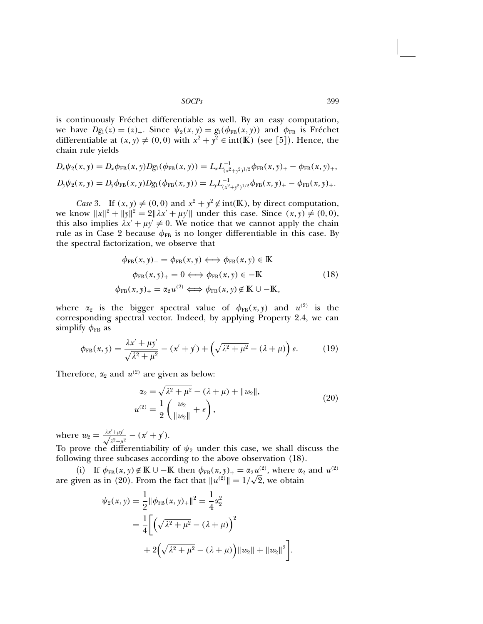is continuously Fréchet differentiable as well. By an easy computation, we have  $Dg_1(z) = (z)_+$ . Since  $\psi_2(x, y) = g_1(\phi_{FB}(x, y))$  and  $\phi_{FB}$  is Fréchet differentiable at  $(x, y) \neq (0, 0)$  with  $x^2 + y^2 \in \text{int}(\mathbb{K})$  (see [5]). Hence, the chain rule yields

$$
D_x \psi_2(x, y) = D_x \phi_{FB}(x, y) Dg_1(\phi_{FB}(x, y)) = L_x L_{(x^2 + y^2)^{1/2}}^{-1} \phi_{FB}(x, y)_{+} - \phi_{FB}(x, y)_{+},
$$
  

$$
D_y \psi_2(x, y) = D_y \phi_{FB}(x, y) Dg_1(\phi_{FB}(x, y)) = L_y L_{(x^2 + y^2)^{1/2}}^{-1} \phi_{FB}(x, y)_{+} - \phi_{FB}(x, y)_{+}.
$$

Case 3. If  $(x, y) \neq (0, 0)$  and  $x^2 + y^2 \notin \text{int}(\mathbb{K})$ , by direct computation, we know  $||x||^2 + ||y||^2 = 2||\lambda x' + \mu y'||$  under this case. Since  $(x, y) \neq (0, 0)$ , this also implies  $\lambda x' + \mu y' \neq 0$ . We notice that we cannot apply the chain rule as in Case 2 because  $\phi_{FB}$  is no longer differentiable in this case. By the spectral factorization, we observe that

$$
\phi_{FB}(x, y)_{+} = \phi_{FB}(x, y) \Longleftrightarrow \phi_{FB}(x, y) \in \mathbb{K}
$$
  
\n
$$
\phi_{FB}(x, y)_{+} = 0 \Longleftrightarrow \phi_{FB}(x, y) \in -\mathbb{K}
$$
  
\n
$$
\phi_{FB}(x, y)_{+} = \alpha_{2} u^{(2)} \Longleftrightarrow \phi_{FB}(x, y) \notin \mathbb{K} \cup -\mathbb{K},
$$
\n(18)

where  $\alpha_2$  is the bigger spectral value of  $\phi_{FB}(x, y)$  and  $u^{(2)}$  is the corresponding spectral vector. Indeed, by applying Property 2.4, we can simplify  $\phi_{FB}$  as

$$
\phi_{FB}(x, y) = \frac{\lambda x' + \mu y'}{\sqrt{\lambda^2 + \mu^2}} - (x' + y') + \left(\sqrt{\lambda^2 + \mu^2} - (\lambda + \mu)\right)e.
$$
 (19)

Therefore,  $\alpha_2$  and  $u^{(2)}$  are given as below:

$$
\alpha_2 = \sqrt{\lambda^2 + \mu^2} - (\lambda + \mu) + ||w_2||,
$$
  
\n
$$
u^{(2)} = \frac{1}{2} \left( \frac{w_2}{||w_2||} + e \right),
$$
\n(20)

where  $w_2 = \frac{\lambda x' + \mu y'}{\sqrt{\lambda^2 + \mu^2}} - (x' + y').$ 

To prove the differentiability of  $\psi_2$  under this case, we shall discuss the following three subcases according to the above observation (18).

(i) If  $\phi_{FB}(x, y) \notin \mathbb{K} \cup -\mathbb{K}$  then  $\phi_{FB}(x, y)_+ = \alpha_2 u^{(2)}_-,$  where  $\alpha_2$  and  $u^{(2)}_-,$ are given as in (20). From the fact that  $||u^{(2)}|| = 1/\sqrt{2}$ , we obtain

$$
\psi_2(x, y) = \frac{1}{2} ||\phi_{FB}(x, y)_+||^2 = \frac{1}{4} \alpha_2^2
$$
  
= 
$$
\frac{1}{4} \left[ \left( \sqrt{\lambda^2 + \mu^2} - (\lambda + \mu) \right)^2 + 2 \left( \sqrt{\lambda^2 + \mu^2} - (\lambda + \mu) \right) ||w_2|| + ||w_2||^2 \right].
$$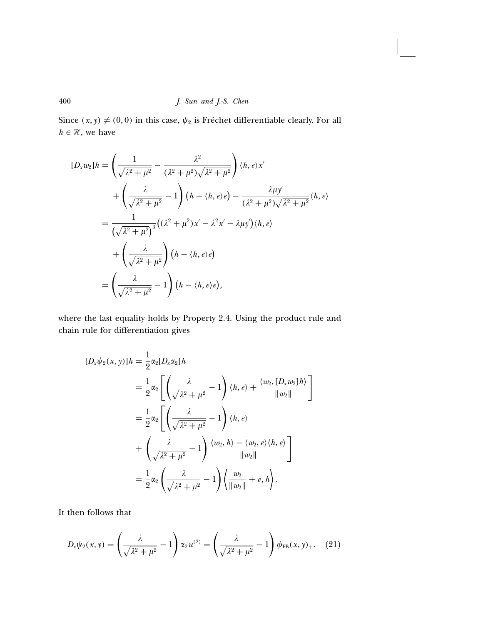Since  $(x, y) \neq (0, 0)$  in this case,  $\psi_2$  is Fréchet differentiable clearly. For all  $h \in \mathcal{H},$  we have

$$
[D_x w_2]h = \left(\frac{1}{\sqrt{\lambda^2 + \mu^2}} - \frac{\lambda^2}{(\lambda^2 + \mu^2)\sqrt{\lambda^2 + \mu^2}}\right) \langle h, e \rangle x'
$$
  
+ 
$$
\left(\frac{\lambda}{\sqrt{\lambda^2 + \mu^2}} - 1\right) (h - \langle h, e \rangle e) - \frac{\lambda \mu y'}{(\lambda^2 + \mu^2)\sqrt{\lambda^2 + \mu^2}} \langle h, e \rangle
$$
  
= 
$$
\frac{1}{(\sqrt{\lambda^2 + \mu^2})^3} ((\lambda^2 + \mu^2)x' - \lambda^2 x' - \lambda \mu y') \langle h, e \rangle
$$
  
+ 
$$
\left(\frac{\lambda}{\sqrt{\lambda^2 + \mu^2}}\right) (h - \langle h, e \rangle e)
$$
  
= 
$$
\left(\frac{\lambda}{\sqrt{\lambda^2 + \mu^2}} - 1\right) (h - \langle h, e \rangle e),
$$

where the last equality holds by Property 2.4. Using the product rule and chain rule for differentiation gives

$$
[D_x \psi_2(x, y)]h = \frac{1}{2} \alpha_2 [D_x \alpha_2]h
$$
  
=  $\frac{1}{2} \alpha_2 \left[ \left( \frac{\lambda}{\sqrt{\lambda^2 + \mu^2}} - 1 \right) \langle h, e \rangle + \frac{\langle w_2, [D_x w_2] h \rangle}{\| w_2 \|} \right]$   
=  $\frac{1}{2} \alpha_2 \left[ \left( \frac{\lambda}{\sqrt{\lambda^2 + \mu^2}} - 1 \right) \langle h, e \rangle + \left( \frac{\lambda}{\sqrt{\lambda^2 + \mu^2}} - 1 \right) \frac{\langle w_2, h \rangle - \langle w_2, e \rangle \langle h, e \rangle}{\| w_2 \|} \right]$   
=  $\frac{1}{2} \alpha_2 \left( \frac{\lambda}{\sqrt{\lambda^2 + \mu^2}} - 1 \right) \left\langle \frac{w_2}{\| w_2 \|} + e, h \right\rangle.$ 

It then follows that

$$
D_{x}\psi_{2}(x,y) = \left(\frac{\lambda}{\sqrt{\lambda^{2} + \mu^{2}}} - 1\right)\alpha_{2}u^{(2)} = \left(\frac{\lambda}{\sqrt{\lambda^{2} + \mu^{2}}} - 1\right)\phi_{\text{FB}}(x,y)_{+}.
$$
 (21)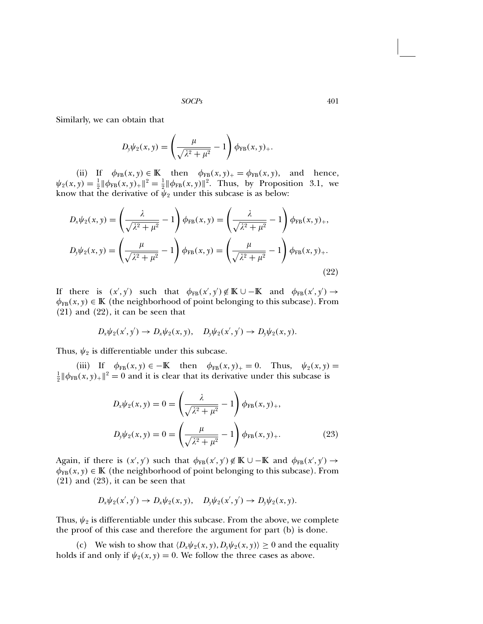Similarly, we can obtain that

$$
D_{y}\psi_{2}(x, y) = \left(\frac{\mu}{\sqrt{\lambda^{2} + \mu^{2}}} - 1\right)\phi_{FB}(x, y)_{+}.
$$

(ii) If  $\phi_{FB}(x, y) \in \mathbb{K}$  then  $\phi_{FB}(x, y)_+ = \phi_{FB}(x, y)$ , and hence,  $\psi_2(x, y) = \frac{1}{2} ||\phi_{FB}(x, y)_{+}||^2 = \frac{1}{2} ||\phi_{FB}(x, y)||^2$ . Thus, by Proposition 3.1, we know that the derivative of  $\psi_2$  under this subcase is as below:

$$
D_x \psi_2(x, y) = \left(\frac{\lambda}{\sqrt{\lambda^2 + \mu^2}} - 1\right) \phi_{FB}(x, y) = \left(\frac{\lambda}{\sqrt{\lambda^2 + \mu^2}} - 1\right) \phi_{FB}(x, y)_+,
$$
  

$$
D_y \psi_2(x, y) = \left(\frac{\mu}{\sqrt{\lambda^2 + \mu^2}} - 1\right) \phi_{FB}(x, y) = \left(\frac{\mu}{\sqrt{\lambda^2 + \mu^2}} - 1\right) \phi_{FB}(x, y)_+.
$$
  
(22)

If there is  $(x', y')$  such that  $\phi_{FB}(x', y') \notin K \cup -K$  and  $\phi_{FB}(x', y') \rightarrow$  $\phi_{FB}(x, y) \in K$  (the neighborhood of point belonging to this subcase). From (21) and (22), it can be seen that

$$
D_x\psi_2(x',y') \to D_x\psi_2(x,y), \quad D_y\psi_2(x',y') \to D_y\psi_2(x,y).
$$

Thus,  $\psi_2$  is differentiable under this subcase.

(iii) If  $\phi_{FB}(x, y) \in -\mathbb{K}$  then  $\phi_{FB}(x, y)_+ = 0$ . Thus,  $\psi_2(x, y) =$  $\frac{1}{2} \|\phi_{FB}(x,y)_{+}\|^2 = 0$  and it is clear that its derivative under this subcase is

$$
D_x \psi_2(x, y) = 0 = \left(\frac{\lambda}{\sqrt{\lambda^2 + \mu^2}} - 1\right) \phi_{FB}(x, y)_+,
$$
  

$$
D_y \psi_2(x, y) = 0 = \left(\frac{\mu}{\sqrt{\lambda^2 + \mu^2}} - 1\right) \phi_{FB}(x, y)_+.
$$
 (23)

Again, if there is  $(x', y')$  such that  $\phi_{FB}(x', y') \notin K \cup -K$  and  $\phi_{FB}(x', y') \rightarrow$  $\phi_{FB}(x, y) \in K$  (the neighborhood of point belonging to this subcase). From (21) and (23), it can be seen that

$$
D_x\psi_2(x',y')\to D_x\psi_2(x,y),\quad D_y\psi_2(x',y')\to D_y\psi_2(x,y).
$$

Thus,  $\psi_2$  is differentiable under this subcase. From the above, we complete the proof of this case and therefore the argument for part (b) is done.

(c) We wish to show that  $\langle D_x \psi_2(x, y), D_y \psi_2(x, y) \rangle \ge 0$  and the equality holds if and only if  $\psi_2(x, y) = 0$ . We follow the three cases as above.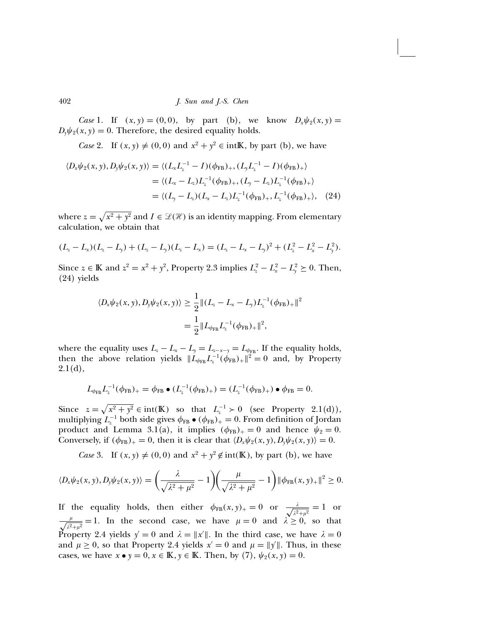Case 1. If  $(x, y) = (0, 0)$ , by part (b), we know  $D_x \psi_2(x, y) =$  $D_y \psi_2(x, y) = 0$ . Therefore, the desired equality holds.

*Case* 2. If  $(x, y) \neq (0, 0)$  and  $x^2 + y^2 \in \text{intK}$ , by part (b), we have

$$
\langle D_x \psi_2(x, y), D_y \psi_2(x, y) \rangle = \langle (L_x L_z^{-1} - I)(\phi_{FB})_+, (L_y L_z^{-1} - I)(\phi_{FB})_+ \rangle
$$
  
=  $\langle (L_x - L_z)L_z^{-1}(\phi_{FB})_+, (L_y - L_z)L_z^{-1}(\phi_{FB})_+ \rangle$   
=  $\langle (L_y - L_z)(L_x - L_z)L_z^{-1}(\phi_{FB})_+, L_z^{-1}(\phi_{FB})_+ \rangle$ , (24)

where  $z = \sqrt{x^2 + y^2}$  and  $I \in \mathcal{L}(\mathcal{H})$  is an identity mapping. From elementary calculation, we obtain that

$$
(L_z - L_x)(L_z - L_y) + (L_z - L_y)(L_z - L_x) = (L_z - L_x - L_y)^2 + (L_z^2 - L_x^2 - L_y^2).
$$

Since  $z \in \mathbb{K}$  and  $z^2 = x^2 + y^2$ , Property 2.3 implies  $L_z^2 - L_x^2 - L_y^2 \ge 0$ . Then, (24) yields

$$
\langle D_x \psi_2(x, y), D_y \psi_2(x, y) \rangle \ge \frac{1}{2} ||(L_z - L_x - L_y)L_z^{-1}(\phi_{\text{FB}})_+||^2
$$
  
= 
$$
\frac{1}{2} ||L_{\phi_{\text{FB}}} L_z^{-1}(\phi_{\text{FB}})_+||^2,
$$

where the equality uses  $L_z - L_x - L_y = L_{z-x-y} = L_{\phi_{FB}}$ . If the equality holds, then the above relation yields  $||L_{\phi_{FB}} L_z^{-1}(\phi_{FB})_+||^2 = 0$  and, by Property  $2.1(d),$ 

$$
L_{\phi_{\text{FB}}} L_z^{-1}(\phi_{\text{FB}})_+ = \phi_{\text{FB}} \bullet (L_z^{-1}(\phi_{\text{FB}})_+) = (L_z^{-1}(\phi_{\text{FB}})_+) \bullet \phi_{\text{FB}} = 0.
$$

Since  $z = \sqrt{x^2 + y^2} \in \text{int}(\mathbb{K})$  so that  $L_z^{-1} > 0$  (see Property 2.1(d)), multiplying  $L_z^{-1}$  both side gives  $\phi_{FB} \bullet (\phi_{FB})_+ = 0$ . From definition of Jordan product and Lemma 3.1(a), it implies  $(\phi_{FB})_+ = 0$  and hence  $\psi_2 = 0$ . Conversely, if  $(\phi_{FB})_+ = 0$ , then it is clear that  $\langle D_x \psi_2(x, y), D_y \psi_2(x, y) \rangle = 0$ .

*Case* 3. If  $(x, y) \neq (0, 0)$  and  $x^2 + y^2 \notin \text{int}(\mathbb{K})$ , by part (b), we have

$$
\langle D_x \psi_2(x, y), D_y \psi_2(x, y) \rangle = \left( \frac{\lambda}{\sqrt{\lambda^2 + \mu^2}} - 1 \right) \left( \frac{\mu}{\sqrt{\lambda^2 + \mu^2}} - 1 \right) \|\phi_{FB}(x, y)_{+}\|^2 \ge 0.
$$

If the equality holds, then either  $\phi_{FB}(x,y)_+ = 0$  or  $\frac{\lambda}{\sqrt{2}}$  $\frac{\lambda}{\lambda^2+\mu^2}=1$  or  $\frac{\mu}{\sqrt{\lambda^2+\mu^2}}=1$ . In the second case, we have  $\mu=0$  and  $\lambda\geq 0$ , so that Property 2.4 yields  $y' = 0$  and  $\lambda = ||x'||$ . In the third case, we have  $\lambda = 0$ and  $\mu \ge 0$ , so that Property 2.4 yields  $x' = 0$  and  $\mu = ||y'||$ . Thus, in these cases, we have  $x \bullet y = 0, x \in \mathbb{K}, y \in \mathbb{K}$ . Then, by (7),  $\psi_2(x, y) = 0$ .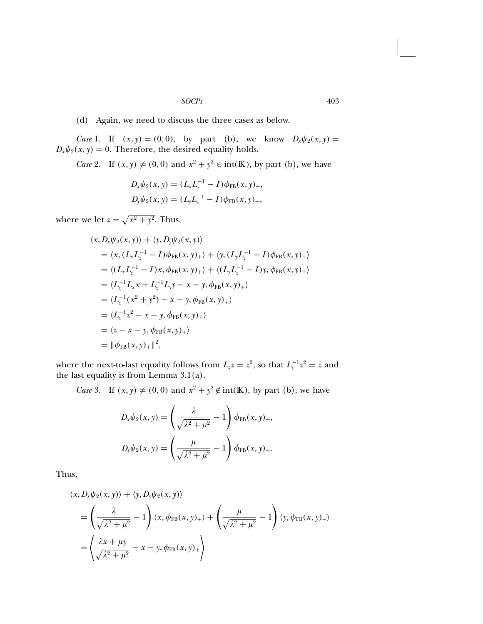(d) Again, we need to discuss the three cases as below.

Case 1. If  $(x, y) = (0, 0)$ , by part (b), we know  $D_x \psi_2(x, y) =$  $D_x\psi_2(x, y) = 0$ . Therefore, the desired equality holds.

*Case* 2. If  $(x, y) \neq (0, 0)$  and  $x^2 + y^2 \in \text{int}(\mathbb{K})$ , by part (b), we have

$$
D_x \psi_2(x, y) = (L_x L_z^{-1} - I) \phi_{FB}(x, y)_+,
$$
  

$$
D_y \psi_2(x, y) = (L_y L_z^{-1} - I) \phi_{FB}(x, y)_+,
$$

where we let  $z = \sqrt{x^2 + y^2}$ . Thus,

$$
\langle x, D_x \psi_2(x, y) \rangle + \langle y, D_y \psi_2(x, y) \rangle
$$
  
=  $\langle x, (L_x L_z^{-1} - I) \phi_{FB}(x, y)_+ \rangle + \langle y, (L_y L_z^{-1} - I) \phi_{FB}(x, y)_+ \rangle$   
=  $\langle (L_x L_z^{-1} - I) x, \phi_{FB}(x, y)_+ \rangle + \langle (L_y L_z^{-1} - I) y, \phi_{FB}(x, y)_+ \rangle$   
=  $\langle L_z^{-1} L_x x + L_z^{-1} L_y y - x - y, \phi_{FB}(x, y)_+ \rangle$   
=  $\langle L_z^{-1} (x^2 + y^2) - x - y, \phi_{FB}(x, y)_+ \rangle$   
=  $\langle L_z^{-1} z^2 - x - y, \phi_{FB}(x, y)_+ \rangle$   
=  $\langle z - x - y, \phi_{FB}(x, y)_+ \rangle$   
=  $\|\phi_{FB}(x, y)_+\|^2$ ,

where the next-to-last equality follows from  $L_z z = z^2$ , so that  $L_z^{-1} z^2 = z$  and the last equality is from Lemma 3.1(a).

*Case* 3. If  $(x, y) \neq (0, 0)$  and  $x^2 + y^2 \notin \text{int}(\mathbb{K})$ , by part (b), we have

$$
D_x \psi_2(x, y) = \left(\frac{\lambda}{\sqrt{\lambda^2 + \mu^2}} - 1\right) \phi_{FB}(x, y)_+,
$$
  

$$
D_y \psi_2(x, y) = \left(\frac{\mu}{\sqrt{\lambda^2 + \mu^2}} - 1\right) \phi_{FB}(x, y)_+.
$$

Thus,

$$
\langle x, D_x \psi_2(x, y) \rangle + \langle y, D_y \psi_2(x, y) \rangle
$$
  
=  $\left( \frac{\lambda}{\sqrt{\lambda^2 + \mu^2}} - 1 \right) \langle x, \phi_{FB}(x, y) \rangle + \left( \frac{\mu}{\sqrt{\lambda^2 + \mu^2}} - 1 \right) \langle y, \phi_{FB}(x, y) \rangle$   
=  $\left( \frac{\lambda x + \mu y}{\sqrt{\lambda^2 + \mu^2}} - x - y, \phi_{FB}(x, y) \rangle + \right)$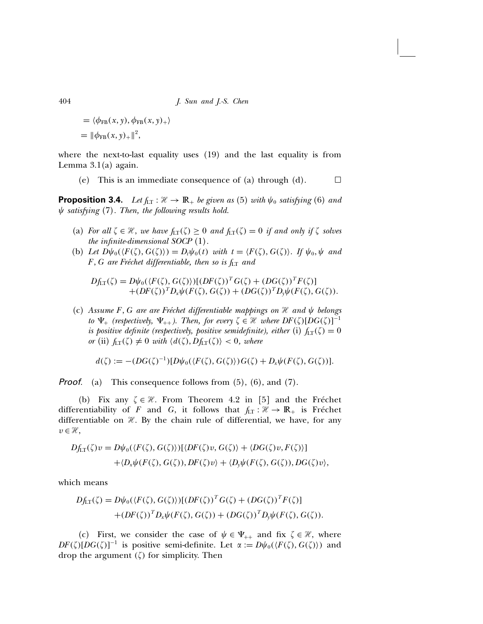$$
= \langle \phi_{FB}(x, y), \phi_{FB}(x, y)_{+} \rangle
$$
  
=  $\|\phi_{FB}(x, y)_{+}\|^2$ ,

where the next-to-last equality uses (19) and the last equality is from Lemma 3.1(a) again.

(e) This is an immediate consequence of (a) through (d).  $\Box$ 

**Proposition 3.4.** Let  $f_{LT}$ :  $\mathcal{H} \rightarrow \mathbb{R}_+$  be given as (5) with  $\psi_0$  satisfying (6) and  $\psi$  satisfying (7). Then, the following results hold.

- (a) For all  $\zeta \in \mathcal{H}$ , we have  $f_{LT}(\zeta) \geq 0$  and  $f_{LT}(\zeta) = 0$  if and only if  $\zeta$  solves the infinite-dimensional SOCP (1).
- (b) Let  $D\psi_0(\langle F(\zeta), G(\zeta) \rangle) = D_t \psi_0(t)$  with  $t = \langle F(\zeta), G(\zeta) \rangle$ . If  $\psi_0, \psi$  and  $F, G$  are Fréchet differentiable, then so is  $f_{LT}$  and

$$
Df_{LT}(\zeta) = D\psi_0(\langle F(\zeta), G(\zeta) \rangle)[(DF(\zeta))^T G(\zeta) + (DG(\zeta))^T F(\zeta)] + (DF(\zeta))^T D_x \psi(F(\zeta), G(\zeta)) + (DG(\zeta))^T D_y \psi(F(\zeta), G(\zeta)).
$$

(c) Assume F, G are are Fréchet differentiable mappings on  $\mathcal H$  and  $\psi$  belongs to  $\Psi_+$  (respectively,  $\Psi_{++}$ ). Then, for every  $\zeta \in \mathcal{H}$  where  $DF(\zeta)[DG(\zeta)]^{-1}$ is positive definite (respectively, positive semidefinite), either (i)  $f_{LT}(\zeta) = 0$ or (ii)  $f_{LT}(\zeta) \neq 0$  with  $\langle d(\zeta), Df_{LT}(\zeta) \rangle < 0$ , where

$$
d(\zeta) := -(DG(\zeta)^{-1})[D\psi_0(\langle F(\zeta), G(\zeta) \rangle)G(\zeta) + D_x\psi(F(\zeta), G(\zeta))].
$$

**Proof.** (a) This consequence follows from  $(5)$ ,  $(6)$ , and  $(7)$ .

(b) Fix any  $\zeta \in \mathcal{H}$ . From Theorem 4.2 in [5] and the Fréchet differentiability of F and G, it follows that  $f_{LT} : \mathcal{H} \to \mathbb{R}_+$  is Fréchet differentiable on  $H$ . By the chain rule of differential, we have, for any  $v \in \mathcal{H}$ ,

$$
Df_{LT}(\zeta)v = D\psi_0(\langle F(\zeta), G(\zeta) \rangle)[\langle DF(\zeta)v, G(\zeta) \rangle + \langle DG(\zeta)v, F(\zeta) \rangle] + \langle D_x \psi(F(\zeta), G(\zeta)), DF(\zeta)v \rangle + \langle D_y \psi(F(\zeta), G(\zeta)), DG(\zeta)v \rangle,
$$

which means

$$
Df_{LT}(\zeta) = D\psi_0(\langle F(\zeta), G(\zeta) \rangle)[(DF(\zeta))^T G(\zeta) + (DG(\zeta))^T F(\zeta)]
$$
  
+ 
$$
(DF(\zeta))^T D_x \psi(F(\zeta), G(\zeta)) + (DG(\zeta))^T D_y \psi(F(\zeta), G(\zeta)).
$$

(c) First, we consider the case of  $\psi \in \Psi_{++}$  and fix  $\zeta \in \mathcal{H}$ , where  $DF(\zeta)[DG(\zeta)]^{-1}$  is positive semi-definite. Let  $\alpha := D\psi_0(\langle F(\zeta), G(\zeta) \rangle)$  and drop the argument  $(\zeta)$  for simplicity. Then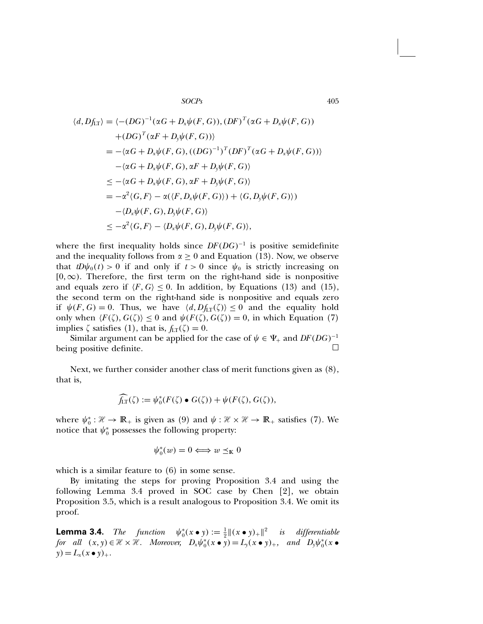$$
\langle d, Df_{LT} \rangle = \langle -(DG)^{-1}(\alpha G + D_x \psi(F, G)), (DF)^T(\alpha G + D_x \psi(F, G))
$$
  
+
$$
(DG)^T(\alpha F + D_y \psi(F, G))
$$
  
= 
$$
-(\alpha G + D_x \psi(F, G), ((DG)^{-1})^T (DF)^T(\alpha G + D_x \psi(F, G))
$$
  

$$
-(\alpha G + D_x \psi(F, G), \alpha F + D_y \psi(F, G))
$$
  

$$
\leq -\langle \alpha G + D_x \psi(F, G), \alpha F + D_y \psi(F, G) \rangle
$$
  
= 
$$
-\alpha^2 \langle G, F \rangle - \alpha \langle F, D_x \psi(F, G) \rangle + \langle G, D_y \psi(F, G) \rangle
$$
  

$$
\leq -\alpha^2 \langle G, F \rangle - \langle D_x \psi(F, G), D_y \psi(F, G) \rangle,
$$
  

$$
\leq -\alpha^2 \langle G, F \rangle - \langle D_x \psi(F, G), D_y \psi(F, G) \rangle,
$$

where the first inequality holds since  $DF(DG)^{-1}$  is positive semidefinite and the inequality follows from  $\alpha \geq 0$  and Equation (13). Now, we observe that  $tD\psi_0(t) > 0$  if and only if  $t > 0$  since  $\psi_0$  is strictly increasing on  $[0, \infty)$ . Therefore, the first term on the right-hand side is nonpositive and equals zero if  $\langle F, G \rangle \leq 0$ . In addition, by Equations (13) and (15), the second term on the right-hand side is nonpositive and equals zero if  $\psi(F, G) = 0$ . Thus, we have  $\langle d, Df_{LT}(\zeta) \rangle \le 0$  and the equality hold only when  $\langle F(\zeta), G(\zeta) \rangle \le 0$  and  $\psi(F(\zeta), G(\zeta)) = 0$ , in which Equation (7) implies  $\zeta$  satisfies (1), that is,  $f_{LT}(\zeta) = 0$ .

Similar argument can be applied for the case of  $\psi \in \Psi_+$  and  $DF(DG)^{-1}$ <br>or positive definite being positive definite.

Next, we further consider another class of merit functions given as (8), that is,

$$
\widehat{f_{LT}}(\zeta) := \psi_0^*(F(\zeta) \bullet G(\zeta)) + \psi(F(\zeta), G(\zeta)),
$$

where  $\psi_0^*: \mathcal{H} \to \mathbb{R}_+$  is given as (9) and  $\psi: \mathcal{H} \times \mathcal{H} \to \mathbb{R}_+$  satisfies (7). We notice that  $\psi_0^*$  possesses the following property:

$$
\psi_0^*(w) = 0 \Longleftrightarrow w \preceq_{\mathbb{K}} 0
$$

which is a similar feature to (6) in some sense.

By imitating the steps for proving Proposition 3.4 and using the following Lemma 3.4 proved in SOC case by Chen [2], we obtain Proposition 3.5, which is a result analogous to Proposition 3.4. We omit its proof.

**Lemma 3.4.** The function  $\psi_0^*(x \bullet y) := \frac{1}{2} ||(x \bullet y)_+||^2$  is differentiable for all  $(x, y) \in \mathcal{H} \times \mathcal{H}$ . Moreover,  $D_x \psi_0^*(x \bullet y) = L_y(x \bullet y)_+$ , and  $D_y \psi_0^*(x \bullet y)$  $y) = L_x(x \bullet y)_+.$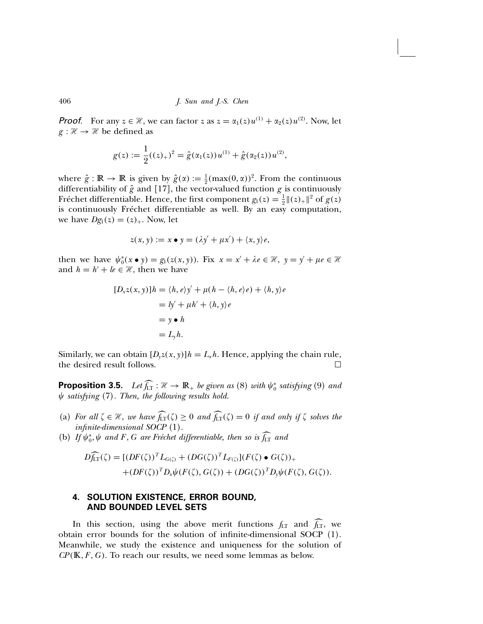**Proof.** For any  $z \in \mathcal{H}$ , we can factor z as  $z = \alpha_1(z)u^{(1)} + \alpha_2(z)u^{(2)}$ . Now, let  $g : \mathcal{H} \to \mathcal{H}$  be defined as

$$
g(z) := \frac{1}{2}((z)_+)^2 = \hat{g}(\alpha_1(z))u^{(1)} + \hat{g}(\alpha_2(z))u^{(2)},
$$

where  $\hat{g} : \mathbb{R} \to \mathbb{R}$  is given by  $\hat{g}(\alpha) := \frac{1}{2} (\max(0, \alpha))^2$ . From the continuous differentiability of  $\hat{g}$  and [17], the vector-valued function g is continuously Fréchet differentiable. Hence, the first component  $g_1(z) = \frac{1}{2} ||(z)_+||^2$  of  $g(z)$ is continuously Fréchet differentiable as well. By an easy computation, we have  $Dg_1(z) = (z)_+$ . Now, let

$$
z(x, y) := x \bullet y = (\lambda y' + \mu x') + \langle x, y \rangle e,
$$

then we have  $\psi_0^*(x \bullet y) = g_1(z(x, y))$ . Fix  $x = x' + \lambda e \in \mathcal{H}$ ,  $y = y' + \mu e \in \mathcal{H}$ and  $h = h' + le \in \mathcal{H}$ , then we have

$$
[D_x z(x, y)]h = \langle h, e \rangle y' + \mu(h - \langle h, e \rangle e) + \langle h, y \rangle e
$$
  
=  $ly' + \mu h' + \langle h, y \rangle e$   
=  $y \cdot h$   
=  $L_y h$ .

Similarly, we can obtain  $[D_{\gamma}z(x, y)]h = L_{x}h$ . Hence, applying the chain rule, the desired result follows.

**Proposition 3.5.** Let  $f_{LT}: \mathcal{H} \to \mathbb{R}_+$  be given as (8) with  $\psi_0^*$  satisfying (9) and  $\psi$  satisfying (7). Then, the following results hold.

- (a) For all  $\zeta \in \mathcal{H}$ , we have  $f_{LT}(\zeta) \geq 0$  and  $f_{LT}(\zeta) = 0$  if and only if  $\zeta$  solves the infinite-dimensional SOCP (1).
- (b) If  $\psi_0^*, \psi$  and F, G are Fréchet differentiable, then so is f<sub>LT</sub> and

$$
D\widehat{f_{LT}}(\zeta) = [(DF(\zeta))^T L_{G(\zeta)} + (DG(\zeta))^T L_{F(\zeta)}](F(\zeta) \bullet G(\zeta))_{+}
$$
  
 
$$
+ (DF(\zeta))^T D_x \psi(F(\zeta), G(\zeta)) + (DG(\zeta))^T D_y \psi(F(\zeta), G(\zeta)).
$$

# 4. SOLUTION EXISTENCE, ERROR BOUND, AND BOUNDED LEVEL SETS

In this section, using the above merit functions  $f_{LT}$  and  $f_{LT}$ , we obtain error bounds for the solution of infinite-dimensional SOCP (1). Meanwhile, we study the existence and uniqueness for the solution of  $\mathfrak{CP}(\mathbb{K}, F, G)$ . To reach our results, we need some lemmas as below.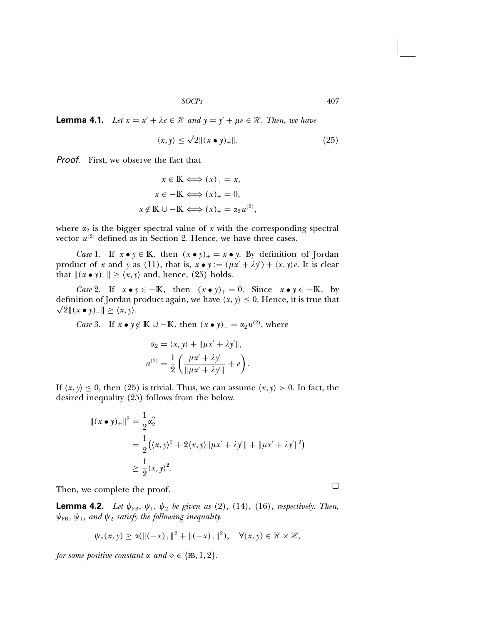**Lemma 4.1.** Let  $x = x' + \lambda e \in \mathcal{H}$  and  $y = y' + \mu e \in \mathcal{H}$ . Then, we have

$$
\langle x, y \rangle \le \sqrt{2} \|(x \bullet y)_+\|.\tag{25}
$$

**Proof.** First, we observe the fact that

$$
x \in \mathbb{K} \Longleftrightarrow (x)_+ = x,
$$
  
\n
$$
x \in -\mathbb{K} \Longleftrightarrow (x)_+ = 0,
$$
  
\n
$$
x \notin \mathbb{K} \cup -\mathbb{K} \Longleftrightarrow (x)_+ = \alpha_2 u^{(2)},
$$

where  $\alpha_2$  is the bigger spectral value of x with the corresponding spectral vector  $u^{(2)}$  defined as in Section 2. Hence, we have three cases.

*Case* 1. If  $x \bullet y \in \mathbb{K}$ , then  $(x \bullet y)_+ = x \bullet y$ . By definition of Jordan product of x and y as (11), that is,  $x \bullet y := (\mu x' + \lambda y') + \langle x, y \rangle e$ . It is clear that  $\|(x \bullet y)_+\| \ge \langle x, y \rangle$  and, hence, (25) holds.

*Case* 2. If  $x \bullet y \in -\mathbb{K}$ , then  $(x \bullet y)_+ = 0$ . Since  $x \bullet y \in -\mathbb{K}$ , by definition of Jordan product again, we have  $\langle x,y \rangle \leq 0$ . Hence, it is true that  $\sqrt{2}$   $\|(x \bullet y)_+\| \geq \langle x, y \rangle$ .

*Case* 3. If  $x \bullet y \notin \mathbb{K} \cup -\mathbb{K}$ , then  $(x \bullet y)_+ = \alpha_2 u^{(2)}$ , where

$$
\alpha_2 = \langle x, y \rangle + ||\mu x' + \lambda y'||,
$$
  

$$
u^{(2)} = \frac{1}{2} \left( \frac{\mu x' + \lambda y'}{||\mu x' + \lambda y'||} + e \right).
$$

If  $\langle x, y \rangle \leq 0$ , then (25) is trivial. Thus, we can assume  $\langle x, y \rangle > 0$ . In fact, the desired inequality (25) follows from the below.

$$
\begin{aligned} ||(x \bullet y)_+||^2 &= \frac{1}{2} \alpha_2^2 \\ &= \frac{1}{2} (\langle x, y \rangle^2 + 2 \langle x, y \rangle ||\mu x' + \lambda y' || + ||\mu x' + \lambda y' ||^2) \\ &\ge \frac{1}{2} \langle x, y \rangle^2. \end{aligned}
$$

Then, we complete the proof.

**Lemma 4.2.** Let  $\psi_{FB}$ ,  $\psi_1$ ,  $\psi_2$  be given as (2), (14), (16), respectively. Then,  $\psi_{FB}$ ,  $\psi_1$ , and  $\psi_2$  satisfy the following inequality.

$$
\psi_{\diamond}(x,y) \geq \alpha (\|(-x)_{+}\|^2 + \|(-x)_{+}\|^2), \quad \forall (x,y) \in \mathcal{H} \times \mathcal{H},
$$

for some positive constant  $\alpha$  and  $\diamond \in \{\text{FB}, 1, 2\}.$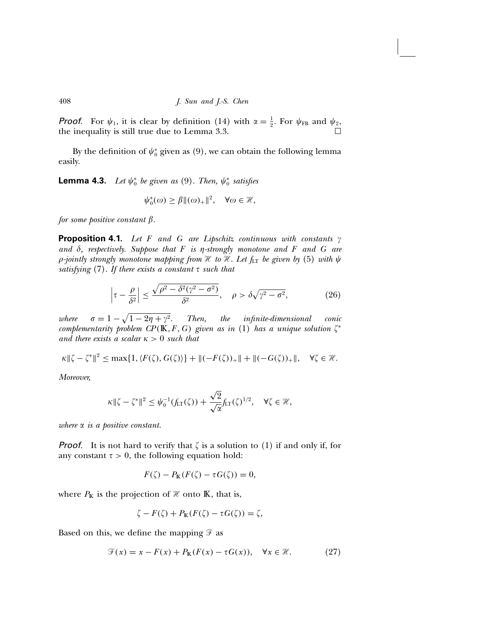**Proof.** For  $\psi_1$ , it is clear by definition (14) with  $\alpha = \frac{1}{2}$ . For  $\psi_{FB}$  and  $\psi_2$ , the inequality is still true due to Lemma 3.3.

By the definition of  $\psi^*_0$  given as  $(9)$ , we can obtain the following lemma easily.

**Lemma 4.3.** Let  $\psi_0^*$  be given as (9). Then,  $\psi_0^*$  satisfies

$$
\psi_0^*(\omega) \ge \beta \|(\omega)_+\|^2, \quad \forall \omega \in \mathcal{H},
$$

for some positive constant  $\beta$ .

**Proposition 4.1.** Let F and G are Lipschitz continuous with constants  $\gamma$ and  $\delta$ , respectively. Suppose that  $F$  is  $\eta$ -strongly monotone and  $F$  and  $G$  are  $\rho$ -jointly strongly monotone mapping from H to H. Let  $f_{LT}$  be given by (5) with  $\psi$ satisfying  $(7)$ . If there exists a constant  $\tau$  such that

$$
\left|\tau - \frac{\rho}{\delta^2}\right| \le \frac{\sqrt{\rho^2 - \delta^2(\gamma^2 - \sigma^2)}}{\delta^2}, \quad \rho > \delta\sqrt{\gamma^2 - \sigma^2},\tag{26}
$$

where  $\sigma = 1 - \sqrt{1 - 2\eta + \gamma^2}$ . Then, the infinite-dimensional conic complementarity problem CP(K, F, G) given as in (1) has a unique solution  $\zeta^*$ and there exists a scalar  $\kappa > 0$  such that

$$
\kappa \|\zeta - \zeta^*\|^2 \le \max\{1, \langle F(\zeta), G(\zeta)\rangle\} + \|(-F(\zeta))_+\| + \|(-G(\zeta))_+\|, \quad \forall \zeta \in \mathcal{H}.
$$

Moreover,

$$
\kappa \|\zeta - \zeta^*\|^2 \leq \psi_0^{-1}(f_{LT}(\zeta)) + \frac{\sqrt{2}}{\sqrt{\alpha}} f_{LT}(\zeta)^{1/2}, \quad \forall \zeta \in \mathcal{H},
$$

where  $\alpha$  is a positive constant.

**Proof.** It is not hard to verify that  $\zeta$  is a solution to (1) if and only if, for any constant  $\tau > 0$ , the following equation hold:

$$
F(\zeta) - P_{\mathbb{K}}(F(\zeta) - \tau G(\zeta)) = 0,
$$

where  $P_{\mathbb{K}}$  is the projection of  $\mathcal{H}$  onto  $\mathbb{K}$ , that is,

$$
\zeta - F(\zeta) + P_{\mathbb{K}}(F(\zeta) - \tau G(\zeta)) = \zeta,
$$

Based on this, we define the mapping  $\mathcal F$  as

$$
\mathcal{F}(x) = x - F(x) + P_{\mathbb{K}}(F(x) - \tau G(x)), \quad \forall x \in \mathcal{H}.
$$
 (27)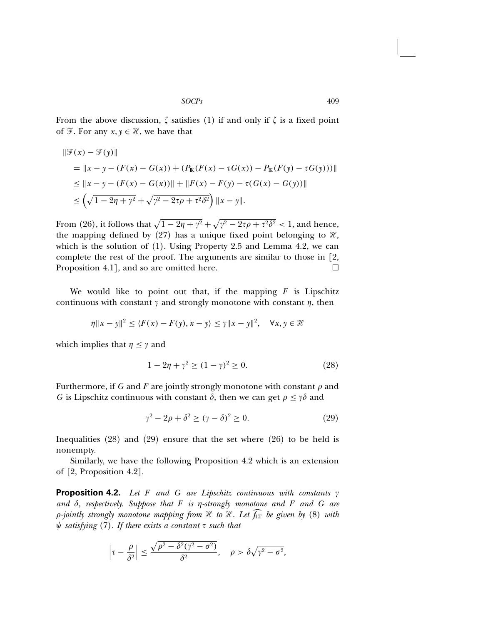From the above discussion,  $\zeta$  satisfies (1) if and only if  $\zeta$  is a fixed point of  $\mathcal{F}$ . For any  $x, y \in \mathcal{H}$ , we have that

$$
\|\mathcal{F}(x) - \mathcal{F}(y)\|
$$
  
=  $\|x - y - (F(x) - G(x)) + (P_{\mathbb{K}}(F(x) - \tau G(x)) - P_{\mathbb{K}}(F(y) - \tau G(y)))\|$   
 $\le \|x - y - (F(x) - G(x))\| + \|F(x) - F(y) - \tau(G(x) - G(y))\|$   
 $\le \left(\sqrt{1 - 2\eta + \gamma^2} + \sqrt{\gamma^2 - 2\tau\rho + \tau^2 \delta^2}\right) \|x - y\|.$ 

From (26), it follows that  $\sqrt{1-2\eta+\gamma^2}+\sqrt{\gamma^2-2\tau\rho+\tau^2\delta^2}<1$ , and hence, the mapping defined by (27) has a unique fixed point belonging to  $\mathcal{H}$ , which is the solution of (1). Using Property 2.5 and Lemma 4.2, we can complete the rest of the proof. The arguments are similar to those in [2, Proposition 4.1, and so are omitted here.

We would like to point out that, if the mapping  $F$  is Lipschitz continuous with constant  $\gamma$  and strongly monotone with constant  $\eta$ , then

$$
\eta \|x - y\|^2 \le \langle F(x) - F(y), x - y \rangle \le \gamma \|x - y\|^2, \quad \forall x, y \in \mathcal{H}
$$

which implies that  $\eta \leq \gamma$  and

$$
1 - 2\eta + \gamma^2 \ge (1 - \gamma)^2 \ge 0. \tag{28}
$$

Furthermore, if G and F are jointly strongly monotone with constant  $\rho$  and G is Lipschitz continuous with constant  $\delta$ , then we can get  $\rho \leq \gamma \delta$  and

$$
\gamma^2 - 2\rho + \delta^2 \ge (\gamma - \delta)^2 \ge 0. \tag{29}
$$

Inequalities (28) and (29) ensure that the set where (26) to be held is nonempty.

Similarly, we have the following Proposition 4.2 which is an extension of [2, Proposition 4.2].

**Proposition 4.2.** Let F and G are Lipschitz continuous with constants  $\gamma$ and  $\delta$ , respectively. Suppose that  $F$  is  $\eta$ -strongly monotone and  $F$  and  $G$  are  $\rho$ -jointly strongly monotone mapping from  $\mathcal H$  to  $\mathcal H$ . Let  $f_{\rm LT}$  be given by (8) with  $\psi$  satisfying (7). If there exists a constant  $\tau$  such that

$$
\left|\tau-\frac{\rho}{\delta^2}\right| \le \frac{\sqrt{\rho^2-\delta^2(\gamma^2-\sigma^2)}}{\delta^2}, \quad \rho > \delta\sqrt{\gamma^2-\sigma^2},
$$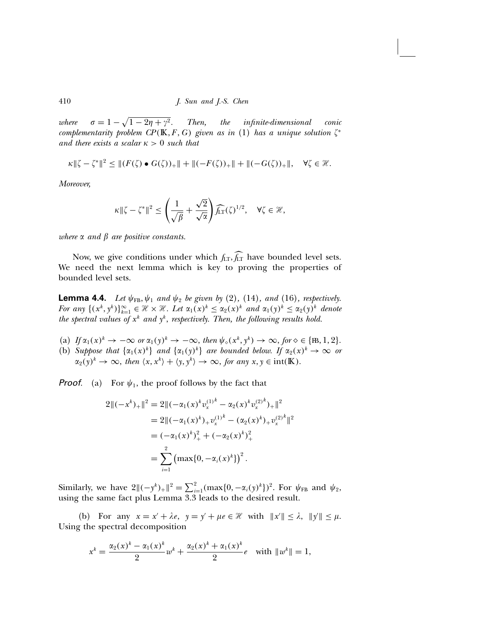where  $\sigma = 1 - \sqrt{1 - 2\eta + \gamma^2}$ . Then, the infinite-dimensional conic complementarity problem  $\mathbb{CP}(\mathbb{K}, F, G)$  given as in (1) has a unique solution  $\zeta^*$ and there exists a scalar  $\kappa > 0$  such that

$$
\kappa \|\zeta - \zeta^*\|^2 \le \| (F(\zeta) \bullet G(\zeta))_+\| + \| (-F(\zeta))_+\| + \| (-G(\zeta))_+\|, \quad \forall \zeta \in \mathcal{H}.
$$

Moreover,

$$
\kappa \|\zeta - \zeta^*\|^2 \le \left(\frac{1}{\sqrt{\beta}} + \frac{\sqrt{2}}{\sqrt{\alpha}}\right) \widehat{f_{\rm LT}}(\zeta)^{1/2}, \quad \forall \zeta \in \mathcal{H},
$$

where  $\alpha$  and  $\beta$  are positive constants.

Now, we give conditions under which  $f_{LT}$ ,  $f_{LT}$  have bounded level sets. We need the next lemma which is key to proving the properties of bounded level sets.

**Lemma 4.4.** Let  $\psi_{FB}$ ,  $\psi_1$  and  $\psi_2$  be given by (2), (14), and (16), respectively. For any  $\{(x^k, y^k)\}_{k=1}^{\infty} \in \mathcal{H} \times \mathcal{H}$ . Let  $\alpha_1(x)^k \leq \alpha_2(x)^k$  and  $\alpha_1(y)^k \leq \alpha_2(y)^k$  denote the spectral values of  $x^k$  and  $y^k$ , respectively. Then, the following results hold.

- (a) If  $\alpha_1(x)^k \to -\infty$  or  $\alpha_1(y)^k \to -\infty$ , then  $\psi_{\diamond}(x^k, y^k) \to \infty$ , for  $\diamond \in \{\mathbb{B}, 1, 2\}.$
- (b) Suppose that  $\{\alpha_1(x)^k\}$  and  $\{\alpha_1(y)^k\}$  are bounded below. If  $\alpha_2(x)^k \to \infty$  or  $\alpha_2(y)^k \to \infty$ , then  $\langle x, x^k \rangle + \langle y, y^k \rangle \to \infty$ , for any  $x, y \in \text{int}(\mathbb{K})$ .

**Proof.** (a) For  $\psi_1$ , the proof follows by the fact that

$$
2\|(-x^{k})_{+}\|^{2} = 2\|(-\alpha_{1}(x)^{k}v_{x}^{(1)^{k}} - \alpha_{2}(x)^{k}v_{x}^{(2)^{k}})_{+}\|^{2}
$$
  
\n
$$
= 2\|(-\alpha_{1}(x)^{k})_{+}v_{x}^{(1)^{k}} - (\alpha_{2}(x)^{k})_{+}v_{x}^{(2)^{k}}\|^{2}
$$
  
\n
$$
= (-\alpha_{1}(x)^{k})_{+}^{2} + (-\alpha_{2}(x)^{k})_{+}^{2}
$$
  
\n
$$
= \sum_{i=1}^{2} (\max\{0, -\alpha_{i}(x)^{k}\})^{2}.
$$

Similarly, we have  $2\|(-y^k)_{+}\|^2 = \sum_{i=1}^2 (\max\{0, -\alpha_i(y)^k\})^2$ . For  $\psi_{FB}$  and  $\psi_2$ , using the same fact plus Lemma 3.3 leads to the desired result.

(b) For any  $x = x' + \lambda e$ ,  $y = y' + \mu e \in \mathcal{H}$  with  $||x'|| \leq \lambda$ ,  $||y'|| \leq \mu$ . Using the spectral decomposition

$$
x^{k} = \frac{\alpha_{2}(x)^{k} - \alpha_{1}(x)^{k}}{2} w^{k} + \frac{\alpha_{2}(x)^{k} + \alpha_{1}(x)^{k}}{2} e \text{ with } \|w^{k}\| = 1,
$$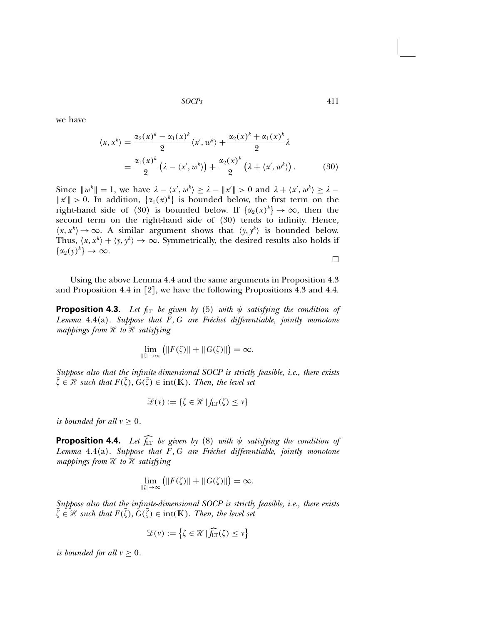we have

$$
\langle x, x^k \rangle = \frac{\alpha_2(x)^k - \alpha_1(x)^k}{2} \langle x', w^k \rangle + \frac{\alpha_2(x)^k + \alpha_1(x)^k}{2} \lambda
$$
  
= 
$$
\frac{\alpha_1(x)^k}{2} \left( \lambda - \langle x', w^k \rangle \right) + \frac{\alpha_2(x)^k}{2} \left( \lambda + \langle x', w^k \rangle \right). \tag{30}
$$

Since  $||w^k|| = 1$ , we have  $\lambda - \langle x', w^k \rangle \ge \lambda - ||x'|| > 0$  and  $\lambda + \langle x', w^k \rangle \ge \lambda ||x'|| > 0$ . In addition,  $\{\alpha_1(x)^k\}$  is bounded below, the first term on the right-hand side of (30) is bounded below. If  $\{\alpha_2(x)^k\} \to \infty$ , then the second term on the right-hand side of (30) tends to infinity. Hence,  $\langle x, x^k \rangle \to \infty$ . A similar argument shows that  $\langle y, y^k \rangle$  is bounded below. Thus,  $\langle x, x^k \rangle + \langle y, y^k \rangle \rightarrow \infty$ . Symmetrically, the desired results also holds if  $\{\alpha_2(y)^k\}\to\infty.$  $\Box$ 

Using the above Lemma 4.4 and the same arguments in Proposition 4.3 and Proposition 4.4 in [2], we have the following Propositions 4.3 and 4.4.

**Proposition 4.3.** Let  $f_{LT}$  be given by (5) with  $\psi$  satisfying the condition of Lemma  $4.4(a)$ . Suppose that  $F, G$  are Fréchet differentiable, jointly monotone mappings from  $H$  to  $H$  satisfying

$$
\lim_{\|\zeta\| \to \infty} \left( \|F(\zeta)\| + \|G(\zeta)\| \right) = \infty.
$$

Suppose also that the infinite-dimensional SOCP is strictly feasible, i.e., there exists  $\zeta \in \mathcal{H}$  such that  $F(\zeta), G(\zeta) \in \text{int}(\mathbb{K})$ . Then, the level set

$$
\mathcal{L}(v) := \{ \zeta \in \mathcal{H} \mid f_{LT}(\zeta) \le v \}
$$

is bounded for all  $v \geq 0$ .

**Proposition 4.4.** Let  $\overline{f_{LT}}$  be given by (8) with  $\psi$  satisfying the condition of Lemma  $4.4(a)$ . Suppose that  $F, G$  are Fréchet differentiable, jointly monotone mappings from  $H$  to  $H$  satisfying

$$
\lim_{\|\zeta\| \to \infty} \left( \|F(\zeta)\| + \|G(\zeta)\| \right) = \infty.
$$

Suppose also that the infinite-dimensional SOCP is strictly feasible, i.e., there exists  $\zeta \in \mathcal{H}$  such that  $F(\zeta), G(\zeta) \in \text{int}(\mathbb{K})$ . Then, the level set

$$
\mathcal{L}(v) := \left\{ \zeta \in \mathcal{H} \, | \, \widehat{f_{\rm LT}}(\zeta) \le v \right\}
$$

is bounded for all  $v \geq 0$ .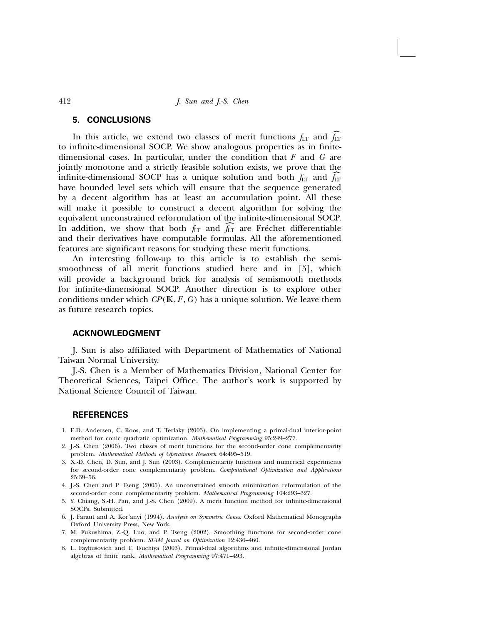# 5. CONCLUSIONS

In this article, we extend two classes of merit functions  $f_{LT}$  and  $f_{LT}$ to infinite-dimensional SOCP. We show analogous properties as in finitedimensional cases. In particular, under the condition that  $F$  and  $G$  are jointly monotone and a strictly feasible solution exists, we prove that the infinite-dimensional SOCP has a unique solution and both  $f_{LT}$  and  $f_{LT}$ have bounded level sets which will ensure that the sequence generated by a decent algorithm has at least an accumulation point. All these will make it possible to construct a decent algorithm for solving the equivalent unconstrained reformulation of the infinite-dimensional SOCP. In addition, we show that both  $f_{LT}$  and  $f_{LT}$  are Fréchet differentiable and their derivatives have computable formulas. All the aforementioned features are significant reasons for studying these merit functions.

An interesting follow-up to this article is to establish the semismoothness of all merit functions studied here and in [5], which will provide a background brick for analysis of semismooth methods for infinite-dimensional SOCP. Another direction is to explore other conditions under which  $\mathbb{CP}(\mathbb{K}, F, G)$  has a unique solution. We leave them as future research topics.

### ACKNOWLEDGMENT

J. Sun is also affiliated with Department of Mathematics of National Taiwan Normal University.

J.-S. Chen is a Member of Mathematics Division, National Center for Theoretical Sciences, Taipei Office. The author's work is supported by National Science Council of Taiwan.

#### **REFERENCES**

- 1. E.D. Andersen, C. Roos, and T. Terlaky (2003). On implementing a primal-dual interior-point method for conic quadratic optimization. Mathematical Programming 95:249–277.
- 2. J.-S. Chen (2006). Two classes of merit functions for the second-order cone complementarity problem. Mathematical Methods of Operations Research 64:495–519.
- 3. X.-D. Chen, D. Sun, and J. Sun (2003). Complementarity functions and numerical experiments for second-order cone complementarity problem. Computational Optimization and Applications 25:39–56.
- 4. J.-S. Chen and P. Tseng (2005). An unconstrained smooth minimization reformulation of the second-order cone complementarity problem. Mathematical Programming 104:293–327.
- 5. Y. Chiang, S.-H. Pan, and J.-S. Chen (2009). A merit function method for infinite-dimensional SOCPs. Submitted.
- 6. J. Faraut and A. Kor'anyi (1994). Analysis on Symmetric Cones. Oxford Mathematical Monographs Oxford University Press, New York.
- 7. M. Fukushima, Z.-Q. Luo, and P. Tseng (2002). Smoothing functions for second-order cone complementarity problem. SIAM Joural on Optimization 12:436–460.
- 8. L. Faybusovich and T. Tsuchiya (2003). Primal-dual algorithms and infinite-dimensional Jordan algebras of finite rank. Mathematical Programming 97:471–493.